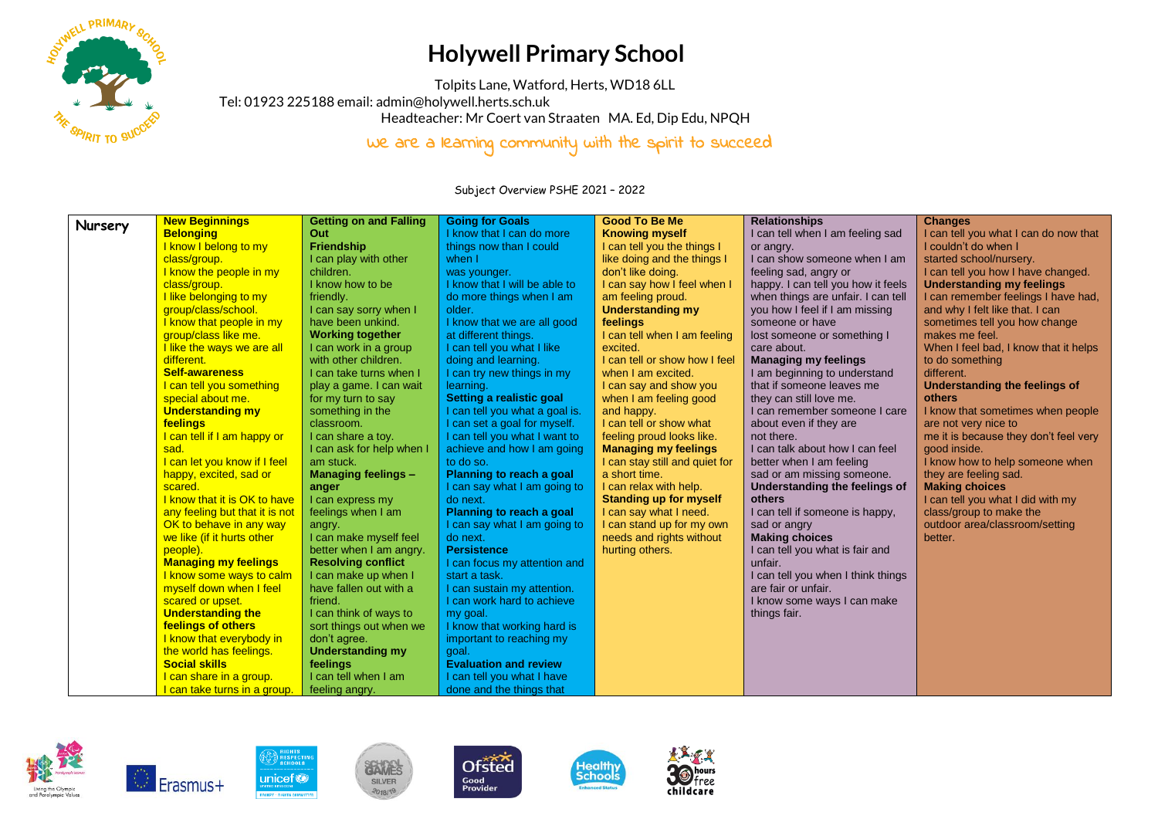

## **Holywell Primary School**

Tolpits Lane, Watford, Herts, WD18 6LL

Tel: 01923 225188 email[: admin@holywell.herts.sch.uk](mailto:admin@holywell.herts.sch.uk)

Headteacher: Mr Coert van Straaten MA. Ed, Dip Edu, NPQH

We are a learning community with the spirit to succeed

Subject Overview PSHE 2021 – 2022

| Nursery | <b>New Beginnings</b>                 | <b>Getting on and Falling</b> | <b>Going for Goals</b>         | <b>Good To Be Me</b>           | <b>Relationships</b>               | <b>Changes</b>                        |
|---------|---------------------------------------|-------------------------------|--------------------------------|--------------------------------|------------------------------------|---------------------------------------|
|         | <b>Belonging</b>                      | Out                           | I know that I can do more      | <b>Knowing myself</b>          | I can tell when I am feeling sad   | I can tell you what I can do now that |
|         | I know I belong to my                 | <b>Friendship</b>             | things now than I could        | I can tell you the things I    | or angry.                          | I couldn't do when I                  |
|         | class/group.                          | I can play with other         | when I                         | like doing and the things I    | I can show someone when I am       | started school/nursery.               |
|         | I know the people in my               | children.                     | was younger.                   | don't like doing.              | feeling sad, angry or              | I can tell you how I have changed.    |
|         | class/group.                          | I know how to be              | I know that I will be able to  | I can say how I feel when I    | happy. I can tell you how it feels | <b>Understanding my feelings</b>      |
|         | I like belonging to my                | friendly.                     | do more things when I am       | am feeling proud.              | when things are unfair. I can tell | I can remember feelings I have had,   |
|         | group/class/school.                   | I can say sorry when I        | older.                         | <b>Understanding my</b>        | you how I feel if I am missing     | and why I felt like that. I can       |
|         | I know that people in my              | have been unkind.             | I know that we are all good    | feelings                       | someone or have                    | sometimes tell you how change         |
|         | group/class like me.                  | <b>Working together</b>       | at different things.           | I can tell when I am feeling   | lost someone or something I        | makes me feel.                        |
|         | I like the ways we are all            | I can work in a group         | I can tell you what I like     | excited.                       | care about.                        | When I feel bad, I know that it helps |
|         | different.                            | with other children.          | doing and learning.            | I can tell or show how I feel  | <b>Managing my feelings</b>        | to do something                       |
|         | <b>Self-awareness</b>                 | I can take turns when I       | I can try new things in my     | when I am excited.             | I am beginning to understand       | different.                            |
|         | I can tell you something              | play a game. I can wait       | learning.                      | I can say and show you         | that if someone leaves me          | Understanding the feelings of         |
|         | special about me.                     | for my turn to say            | Setting a realistic goal       | when I am feeling good         | they can still love me.            | others                                |
|         | <b>Understanding my</b>               | something in the              | I can tell you what a goal is. | and happy.                     | I can remember someone I care      | I know that sometimes when people     |
|         | feelings                              | classroom.                    | I can set a goal for myself.   | I can tell or show what        | about even if they are             | are not very nice to                  |
|         | I can tell if I am happy or           | I can share a toy.            | I can tell you what I want to  | feeling proud looks like.      | not there.                         | me it is because they don't feel very |
|         | sad.                                  | I can ask for help when I     | achieve and how I am going     | <b>Managing my feelings</b>    | I can talk about how I can feel    | good inside.                          |
|         | I can let you know if I feel          | am stuck.                     | to do so.                      | I can stay still and quiet for | better when I am feeling           | I know how to help someone when       |
|         | happy, excited, sad or                | <b>Managing feelings -</b>    | Planning to reach a goal       | a short time.                  | sad or am missing someone.         | they are feeling sad.                 |
|         | scared.                               | anger                         | I can say what I am going to   | I can relax with help.         | Understanding the feelings of      | <b>Making choices</b>                 |
|         | I know that it is OK to have          | I can express my              | do next.                       | <b>Standing up for myself</b>  | others                             | I can tell you what I did with my     |
|         | any feeling but that it is not        | feelings when I am            | Planning to reach a goal       | I can say what I need.         | I can tell if someone is happy,    | class/group to make the               |
|         | OK to behave in any way               | angry.                        | I can say what I am going to   | I can stand up for my own      | sad or angry                       | outdoor area/classroom/setting        |
|         | we like (if it hurts other            | I can make myself feel        | do next.                       | needs and rights without       | <b>Making choices</b>              | better.                               |
|         | people).                              | better when I am angry.       | <b>Persistence</b>             | hurting others.                | I can tell you what is fair and    |                                       |
|         | <b>Managing my feelings</b>           | <b>Resolving conflict</b>     | I can focus my attention and   |                                | unfair.                            |                                       |
|         | I know some ways to calm              | I can make up when I          | start a task.                  |                                | I can tell you when I think things |                                       |
|         | myself down when I feel               | have fallen out with a        | I can sustain my attention.    |                                | are fair or unfair.                |                                       |
|         | scared or upset.                      | friend.                       | I can work hard to achieve     |                                | I know some ways I can make        |                                       |
|         | <b>Understanding the</b>              | I can think of ways to        | my goal.                       |                                | things fair.                       |                                       |
|         | feelings of others                    | sort things out when we       | I know that working hard is    |                                |                                    |                                       |
|         | I know that everybody in              | don't agree.                  | important to reaching my       |                                |                                    |                                       |
|         | the world has feelings.               | <b>Understanding my</b>       | goal.                          |                                |                                    |                                       |
|         | <b>Social skills</b>                  | feelings                      | <b>Evaluation and review</b>   |                                |                                    |                                       |
|         | I can share in a group.               | I can tell when I am          | I can tell you what I have     |                                |                                    |                                       |
|         | <u>l can take turns in a group.  </u> | feeling angry.                | done and the things that       |                                |                                    |                                       |









*<u>SAMES</u>* 

SILVER

 $-2018/19$ 



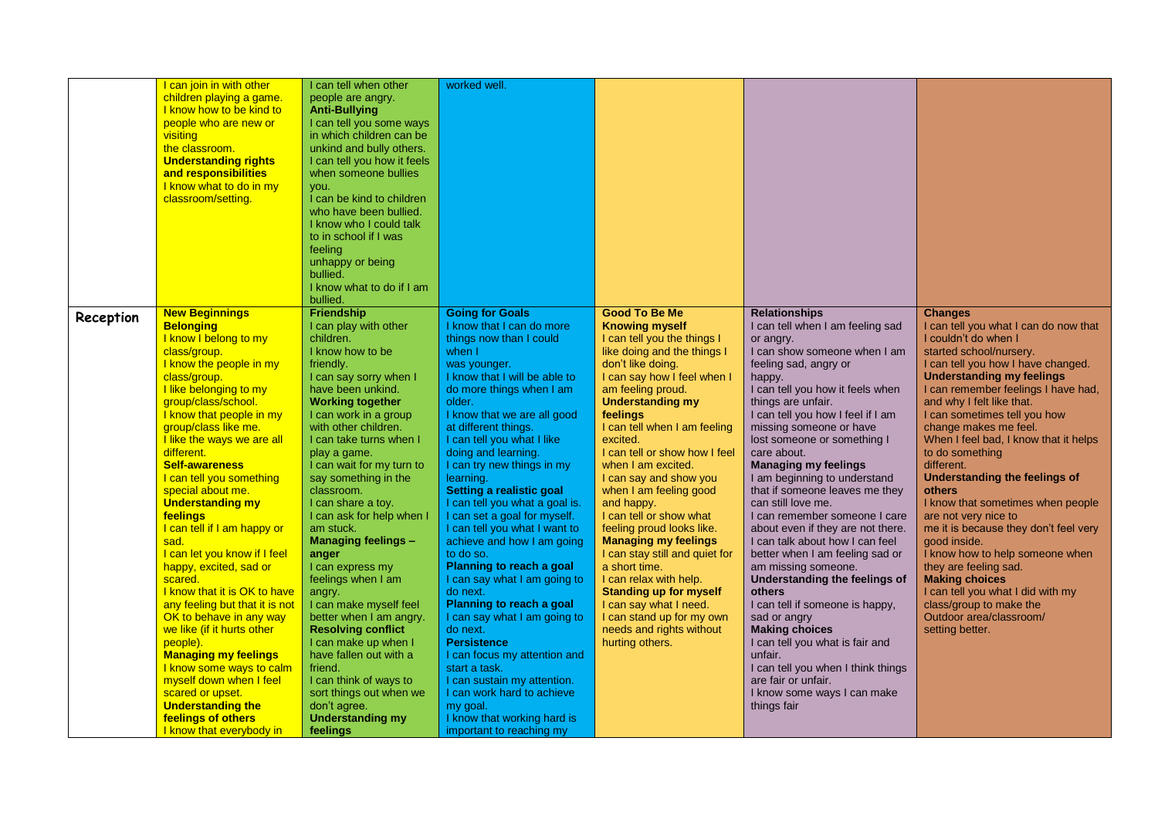|           | I can join in with other                     | I can tell when other       | worked well.                   |                                |                                    |                                       |
|-----------|----------------------------------------------|-----------------------------|--------------------------------|--------------------------------|------------------------------------|---------------------------------------|
|           | children playing a game.                     | people are angry.           |                                |                                |                                    |                                       |
|           | I know how to be kind to                     | <b>Anti-Bullying</b>        |                                |                                |                                    |                                       |
|           | people who are new or                        | I can tell you some ways    |                                |                                |                                    |                                       |
|           | visiting                                     | in which children can be    |                                |                                |                                    |                                       |
|           | the classroom.                               | unkind and bully others.    |                                |                                |                                    |                                       |
|           | <b>Understanding rights</b>                  | I can tell you how it feels |                                |                                |                                    |                                       |
|           |                                              |                             |                                |                                |                                    |                                       |
|           | and responsibilities                         | when someone bullies        |                                |                                |                                    |                                       |
|           | I know what to do in my                      | you.                        |                                |                                |                                    |                                       |
|           | classroom/setting.                           | I can be kind to children   |                                |                                |                                    |                                       |
|           |                                              | who have been bullied.      |                                |                                |                                    |                                       |
|           |                                              | I know who I could talk     |                                |                                |                                    |                                       |
|           |                                              | to in school if I was       |                                |                                |                                    |                                       |
|           |                                              | feeling                     |                                |                                |                                    |                                       |
|           |                                              | unhappy or being            |                                |                                |                                    |                                       |
|           |                                              | bullied.                    |                                |                                |                                    |                                       |
|           |                                              | I know what to do if I am   |                                |                                |                                    |                                       |
|           |                                              | bullied.                    |                                |                                |                                    |                                       |
| Reception | <b>New Beginnings</b>                        | Friendship                  | <b>Going for Goals</b>         | <b>Good To Be Me</b>           | <b>Relationships</b>               | <b>Changes</b>                        |
|           | <b>Belonging</b>                             | I can play with other       | I know that I can do more      | <b>Knowing myself</b>          | I can tell when I am feeling sad   | I can tell you what I can do now that |
|           | I know I belong to my                        | children.                   | things now than I could        | I can tell you the things I    | or angry.                          | I couldn't do when I                  |
|           | class/group.                                 | I know how to be            | when I                         | like doing and the things I    | I can show someone when I am       | started school/nursery.               |
|           | I know the people in my                      | friendly.                   | was younger.                   | don't like doing.              | feeling sad, angry or              | I can tell you how I have changed.    |
|           | class/group.                                 | I can say sorry when I      | I know that I will be able to  | I can say how I feel when I    | happy.                             | <b>Understanding my feelings</b>      |
|           | I like belonging to my                       | have been unkind.           | do more things when I am       | am feeling proud.              | I can tell you how it feels when   | I can remember feelings I have had,   |
|           | group/class/school.                          | <b>Working together</b>     | older.                         | <b>Understanding my</b>        | things are unfair.                 | and why I felt like that.             |
|           | I know that people in my                     | I can work in a group       | I know that we are all good    | feelings                       | I can tell you how I feel if I am  | I can sometimes tell you how          |
|           | group/class like me.                         | with other children.        | at different things.           | I can tell when I am feeling   | missing someone or have            | change makes me feel.                 |
|           | I like the ways we are all                   | I can take turns when I     | I can tell you what I like     | excited.                       | lost someone or something I        | When I feel bad, I know that it helps |
|           | different.                                   | play a game.                | doing and learning.            | I can tell or show how I feel  | care about.                        | to do something                       |
|           | <b>Self-awareness</b>                        | I can wait for my turn to   | I can try new things in my     | when I am excited.             | <b>Managing my feelings</b>        | different.                            |
|           | I can tell you something                     | say something in the        | learning.                      | I can say and show you         | I am beginning to understand       | <b>Understanding the feelings of</b>  |
|           |                                              |                             |                                |                                | that if someone leaves me they     |                                       |
|           | special about me.<br><b>Understanding my</b> | classroom.                  | Setting a realistic goal       | when I am feeling good         | can still love me.                 | others                                |
|           |                                              | I can share a toy.          | I can tell you what a goal is. | and happy.                     |                                    | I know that sometimes when people     |
|           | feelings                                     | I can ask for help when I   | I can set a goal for myself.   | I can tell or show what        | I can remember someone I care      | are not very nice to                  |
|           | I can tell if I am happy or                  | am stuck.                   | I can tell you what I want to  | feeling proud looks like.      | about even if they are not there.  | me it is because they don't feel very |
|           | sad.                                         | <b>Managing feelings -</b>  | achieve and how I am going     | <b>Managing my feelings</b>    | I can talk about how I can feel    | good inside.                          |
|           | I can let you know if I feel                 | anger                       | to do so.                      | I can stay still and quiet for | better when I am feeling sad or    | I know how to help someone when       |
|           | happy, excited, sad or                       | I can express my            | Planning to reach a goal       | a short time.                  | am missing someone.                | they are feeling sad.                 |
|           | scared.                                      | feelings when I am          | I can say what I am going to   | I can relax with help.         | Understanding the feelings of      | <b>Making choices</b>                 |
|           | I know that it is OK to have                 | angry.                      | do next.                       | <b>Standing up for myself</b>  | others                             | I can tell you what I did with my     |
|           | any feeling but that it is not               | I can make myself feel      | Planning to reach a goal       | I can say what I need.         | I can tell if someone is happy,    | class/group to make the               |
|           | OK to behave in any way                      | better when I am angry.     | I can say what I am going to   | I can stand up for my own      | sad or angry                       | Outdoor area/classroom/               |
|           | we like (if it hurts other                   | <b>Resolving conflict</b>   | do next.                       | needs and rights without       | <b>Making choices</b>              | setting better.                       |
|           | people).                                     | I can make up when I        | <b>Persistence</b>             | hurting others.                | I can tell you what is fair and    |                                       |
|           | <b>Managing my feelings</b>                  | have fallen out with a      | I can focus my attention and   |                                | unfair.                            |                                       |
|           | I know some ways to calm                     | friend.                     | start a task.                  |                                | I can tell you when I think things |                                       |
|           | myself down when I feel                      | I can think of ways to      | I can sustain my attention.    |                                | are fair or unfair.                |                                       |
|           | scared or upset.                             | sort things out when we     | I can work hard to achieve     |                                | I know some ways I can make        |                                       |
|           | <b>Understanding the</b>                     | don't agree.                | my goal.                       |                                | things fair                        |                                       |
|           | feelings of others                           | <b>Understanding my</b>     | I know that working hard is    |                                |                                    |                                       |
|           | I know that everybody in                     | feelings                    | important to reaching my       |                                |                                    |                                       |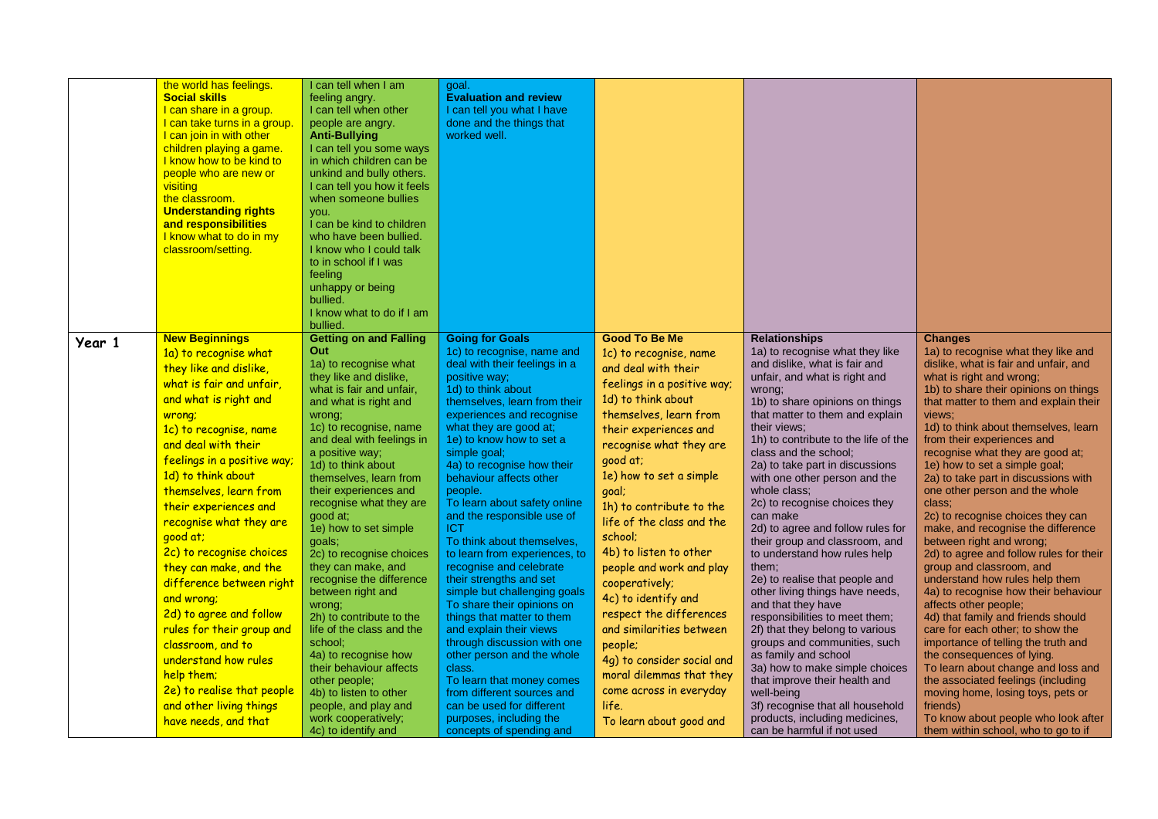|        | the world has feelings.<br><b>Social skills</b><br>I can share in a group.<br>I can take turns in a group.<br>I can join in with other<br>children playing a game.<br>I know how to be kind to<br>people who are new or<br>visiting<br>the classroom.<br><b>Understanding rights</b><br>and responsibilities<br>I know what to do in my<br>classroom/setting.                                                                                                                                                                                                                                                                               | I can tell when I am<br>feeling angry.<br>I can tell when other<br>people are angry.<br><b>Anti-Bullying</b><br>I can tell you some ways<br>in which children can be<br>unkind and bully others.<br>I can tell you how it feels<br>when someone bullies<br>you.<br>I can be kind to children<br>who have been bullied.<br>I know who I could talk<br>to in school if I was<br>feeling<br>unhappy or being<br>bullied.<br>I know what to do if I am<br>bullied.                                                                                                                                                                                                                                                                           | goal.<br><b>Evaluation and review</b><br>I can tell you what I have<br>done and the things that<br>worked well.                                                                                                                                                                                                                                                                                                                                                                                                                                                                                                                                                                                                                                                                                                                                                            |                                                                                                                                                                                                                                                                                                                                                                                                                                                                                                                                                                                                                        |                                                                                                                                                                                                                                                                                                                                                                                                                                                                                                                                                                                                                                                                                                                                                                                                                                                                                                                                                          |                                                                                                                                                                                                                                                                                                                                                                                                                                                                                                                                                                                                                                                                                                                                                                                                                                                                                                                                                                                                                                                                                                  |
|--------|---------------------------------------------------------------------------------------------------------------------------------------------------------------------------------------------------------------------------------------------------------------------------------------------------------------------------------------------------------------------------------------------------------------------------------------------------------------------------------------------------------------------------------------------------------------------------------------------------------------------------------------------|------------------------------------------------------------------------------------------------------------------------------------------------------------------------------------------------------------------------------------------------------------------------------------------------------------------------------------------------------------------------------------------------------------------------------------------------------------------------------------------------------------------------------------------------------------------------------------------------------------------------------------------------------------------------------------------------------------------------------------------|----------------------------------------------------------------------------------------------------------------------------------------------------------------------------------------------------------------------------------------------------------------------------------------------------------------------------------------------------------------------------------------------------------------------------------------------------------------------------------------------------------------------------------------------------------------------------------------------------------------------------------------------------------------------------------------------------------------------------------------------------------------------------------------------------------------------------------------------------------------------------|------------------------------------------------------------------------------------------------------------------------------------------------------------------------------------------------------------------------------------------------------------------------------------------------------------------------------------------------------------------------------------------------------------------------------------------------------------------------------------------------------------------------------------------------------------------------------------------------------------------------|----------------------------------------------------------------------------------------------------------------------------------------------------------------------------------------------------------------------------------------------------------------------------------------------------------------------------------------------------------------------------------------------------------------------------------------------------------------------------------------------------------------------------------------------------------------------------------------------------------------------------------------------------------------------------------------------------------------------------------------------------------------------------------------------------------------------------------------------------------------------------------------------------------------------------------------------------------|--------------------------------------------------------------------------------------------------------------------------------------------------------------------------------------------------------------------------------------------------------------------------------------------------------------------------------------------------------------------------------------------------------------------------------------------------------------------------------------------------------------------------------------------------------------------------------------------------------------------------------------------------------------------------------------------------------------------------------------------------------------------------------------------------------------------------------------------------------------------------------------------------------------------------------------------------------------------------------------------------------------------------------------------------------------------------------------------------|
| Year 1 | <b>New Beginnings</b><br>1a) to recognise what<br>they like and dislike,<br>what is fair and unfair,<br>and what is right and<br>wrong;<br>1c) to recognise, name<br>and deal with their<br>feelings in a positive way;<br>1d) to think about<br>themselves, learn from<br>their experiences and<br>recognise what they are<br>good at;<br>2c) to recognise choices<br>they can make, and the<br>difference between right<br>and wrong;<br>2d) to agree and follow<br>rules for their group and<br>classroom, and to<br>understand how rules<br>help them;<br>2e) to realise that people<br>and other living things<br>have needs, and that | <b>Getting on and Falling</b><br>Out<br>1a) to recognise what<br>they like and dislike,<br>what is fair and unfair.<br>and what is right and<br>wrong;<br>1c) to recognise, name<br>and deal with feelings in<br>a positive way;<br>1d) to think about<br>themselves, learn from<br>their experiences and<br>recognise what they are<br>good at;<br>1e) how to set simple<br>goals;<br>2c) to recognise choices<br>they can make, and<br>recognise the difference<br>between right and<br>wrong;<br>2h) to contribute to the<br>life of the class and the<br>school;<br>4a) to recognise how<br>their behaviour affects<br>other people;<br>4b) to listen to other<br>people, and play and<br>work cooperatively;<br>4c) to identify and | <b>Going for Goals</b><br>1c) to recognise, name and<br>deal with their feelings in a<br>positive way;<br>1d) to think about<br>themselves, learn from their<br>experiences and recognise<br>what they are good at;<br>1e) to know how to set a<br>simple goal;<br>4a) to recognise how their<br>behaviour affects other<br>people.<br>To learn about safety online<br>and the responsible use of<br>ICT<br>To think about themselves,<br>to learn from experiences, to<br>recognise and celebrate<br>their strengths and set<br>simple but challenging goals<br>To share their opinions on<br>things that matter to them<br>and explain their views<br>through discussion with one<br>other person and the whole<br>class.<br>To learn that money comes<br>from different sources and<br>can be used for different<br>purposes, including the<br>concepts of spending and | <b>Good To Be Me</b><br>1c) to recognise, name<br>and deal with their<br>feelings in a positive way;<br>1d) to think about<br>themselves, learn from<br>their experiences and<br>recognise what they are<br>good at;<br>1e) how to set a simple<br>goal;<br>1h) to contribute to the<br>life of the class and the<br>school;<br>4b) to listen to other<br>people and work and play<br>cooperatively;<br>4c) to identify and<br>respect the differences<br>and similarities between<br>people;<br>4g) to consider social and<br>moral dilemmas that they<br>come across in everyday<br>life.<br>To learn about good and | <b>Relationships</b><br>1a) to recognise what they like<br>and dislike, what is fair and<br>unfair, and what is right and<br>wrong;<br>1b) to share opinions on things<br>that matter to them and explain<br>their views:<br>1h) to contribute to the life of the<br>class and the school;<br>2a) to take part in discussions<br>with one other person and the<br>whole class;<br>2c) to recognise choices they<br>can make<br>2d) to agree and follow rules for<br>their group and classroom, and<br>to understand how rules help<br>them;<br>2e) to realise that people and<br>other living things have needs,<br>and that they have<br>responsibilities to meet them;<br>2f) that they belong to various<br>groups and communities, such<br>as family and school<br>3a) how to make simple choices<br>that improve their health and<br>well-being<br>3f) recognise that all household<br>products, including medicines,<br>can be harmful if not used | <b>Changes</b><br>1a) to recognise what they like and<br>dislike, what is fair and unfair, and<br>what is right and wrong;<br>1b) to share their opinions on things<br>that matter to them and explain their<br>views;<br>1d) to think about themselves, learn<br>from their experiences and<br>recognise what they are good at;<br>1e) how to set a simple goal;<br>2a) to take part in discussions with<br>one other person and the whole<br>class:<br>2c) to recognise choices they can<br>make, and recognise the difference<br>between right and wrong;<br>2d) to agree and follow rules for their<br>group and classroom, and<br>understand how rules help them<br>4a) to recognise how their behaviour<br>affects other people;<br>4d) that family and friends should<br>care for each other; to show the<br>importance of telling the truth and<br>the consequences of lying.<br>To learn about change and loss and<br>the associated feelings (including<br>moving home, losing toys, pets or<br>friends)<br>To know about people who look after<br>them within school, who to go to if |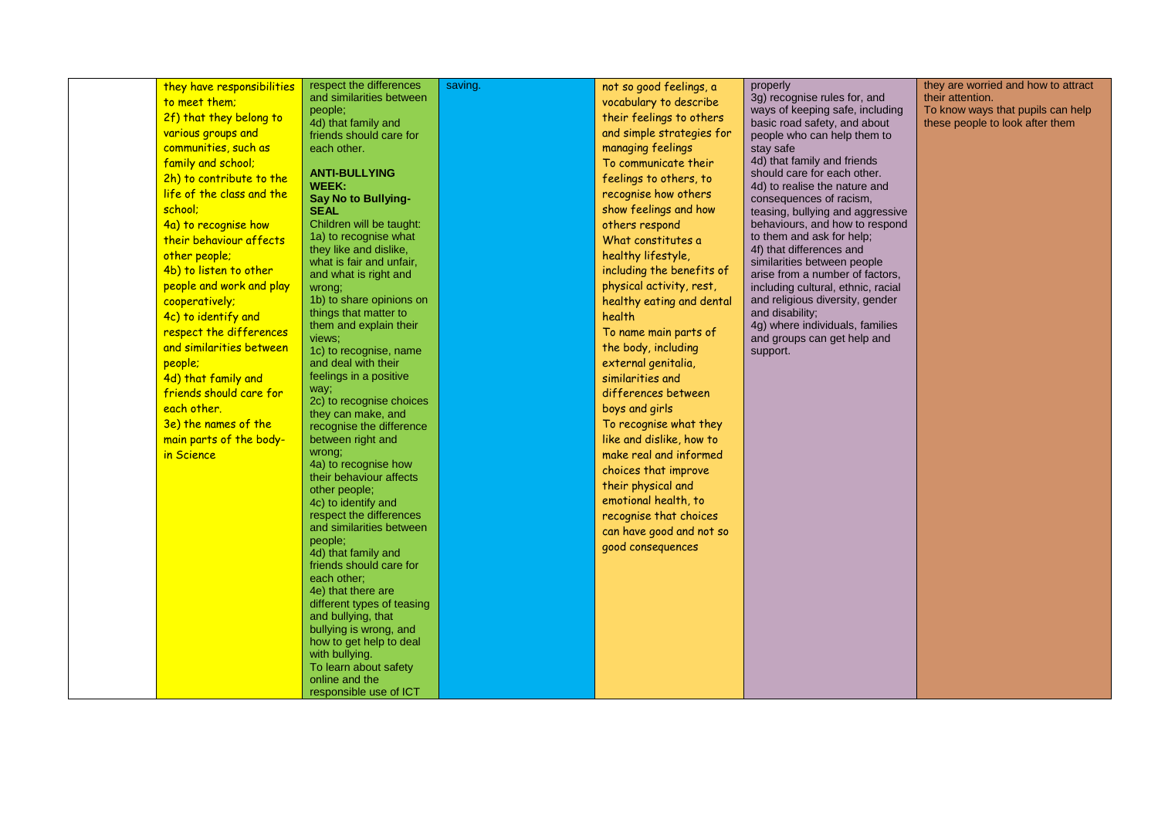| they have responsibilities<br>to meet them;<br>2f) that they belong to<br>various groups and<br>communities, such as<br>family and school;<br>2h) to contribute to the<br>life of the class and the<br>school;<br>4a) to recognise how<br>their behaviour affects<br>other people;<br>4b) to listen to other<br>people and work and play<br>cooperatively;<br>4c) to identify and<br>respect the differences<br>and similarities between<br>people;<br>4d) that family and<br>friends should care for<br>each other.<br>3e) the names of the<br>main parts of the body-<br>in Science | respect the differences<br>and similarities between<br>people;<br>4d) that family and<br>friends should care for<br>each other.<br><b>ANTI-BULLYING</b><br>WEEK:<br><b>Say No to Bullying-</b><br><b>SEAL</b><br>Children will be taught:<br>1a) to recognise what<br>they like and dislike,<br>what is fair and unfair,<br>and what is right and<br>wrong;<br>1b) to share opinions on<br>things that matter to<br>them and explain their<br>views;<br>1c) to recognise, name<br>and deal with their<br>feelings in a positive<br>way;<br>2c) to recognise choices<br>they can make, and<br>recognise the difference<br>between right and<br>wrong;<br>4a) to recognise how<br>their behaviour affects<br>other people;<br>4c) to identify and<br>respect the differences<br>and similarities between<br>people;<br>4d) that family and<br>friends should care for<br>each other;<br>4e) that there are<br>different types of teasing<br>and bullying, that<br>bullying is wrong, and<br>how to get help to deal<br>with bullying.<br>To learn about safety | saving. | not so good feelings, a<br>vocabulary to describe<br>their feelings to others<br>and simple strategies for<br>managing feelings<br>To communicate their<br>feelings to others, to<br>recognise how others<br>show feelings and how<br>others respond<br>What constitutes a<br>healthy lifestyle,<br>including the benefits of<br>physical activity, rest,<br>healthy eating and dental<br>health<br>To name main parts of<br>the body, including<br>external genitalia,<br>similarities and<br>differences between<br>boys and girls<br>To recognise what they<br>like and dislike, how to<br>make real and informed<br>choices that improve<br>their physical and<br>emotional health, to<br>recognise that choices<br>can have good and not so<br>good consequences | properly<br>3g) recognise rules for, and<br>ways of keeping safe, including<br>basic road safety, and about<br>people who can help them to<br>stay safe<br>4d) that family and friends<br>should care for each other.<br>4d) to realise the nature and<br>consequences of racism,<br>teasing, bullying and aggressive<br>behaviours, and how to respond<br>to them and ask for help;<br>4f) that differences and<br>similarities between people<br>arise from a number of factors,<br>including cultural, ethnic, racial<br>and religious diversity, gender<br>and disability;<br>4g) where individuals, families<br>and groups can get help and<br>support. | they are worried and how to attract<br>their attention.<br>To know ways that pupils can help<br>these people to look after them |
|---------------------------------------------------------------------------------------------------------------------------------------------------------------------------------------------------------------------------------------------------------------------------------------------------------------------------------------------------------------------------------------------------------------------------------------------------------------------------------------------------------------------------------------------------------------------------------------|--------------------------------------------------------------------------------------------------------------------------------------------------------------------------------------------------------------------------------------------------------------------------------------------------------------------------------------------------------------------------------------------------------------------------------------------------------------------------------------------------------------------------------------------------------------------------------------------------------------------------------------------------------------------------------------------------------------------------------------------------------------------------------------------------------------------------------------------------------------------------------------------------------------------------------------------------------------------------------------------------------------------------------------------------------------|---------|-----------------------------------------------------------------------------------------------------------------------------------------------------------------------------------------------------------------------------------------------------------------------------------------------------------------------------------------------------------------------------------------------------------------------------------------------------------------------------------------------------------------------------------------------------------------------------------------------------------------------------------------------------------------------------------------------------------------------------------------------------------------------|--------------------------------------------------------------------------------------------------------------------------------------------------------------------------------------------------------------------------------------------------------------------------------------------------------------------------------------------------------------------------------------------------------------------------------------------------------------------------------------------------------------------------------------------------------------------------------------------------------------------------------------------------------------|---------------------------------------------------------------------------------------------------------------------------------|
|                                                                                                                                                                                                                                                                                                                                                                                                                                                                                                                                                                                       | online and the<br>responsible use of ICT                                                                                                                                                                                                                                                                                                                                                                                                                                                                                                                                                                                                                                                                                                                                                                                                                                                                                                                                                                                                                     |         |                                                                                                                                                                                                                                                                                                                                                                                                                                                                                                                                                                                                                                                                                                                                                                       |                                                                                                                                                                                                                                                                                                                                                                                                                                                                                                                                                                                                                                                              |                                                                                                                                 |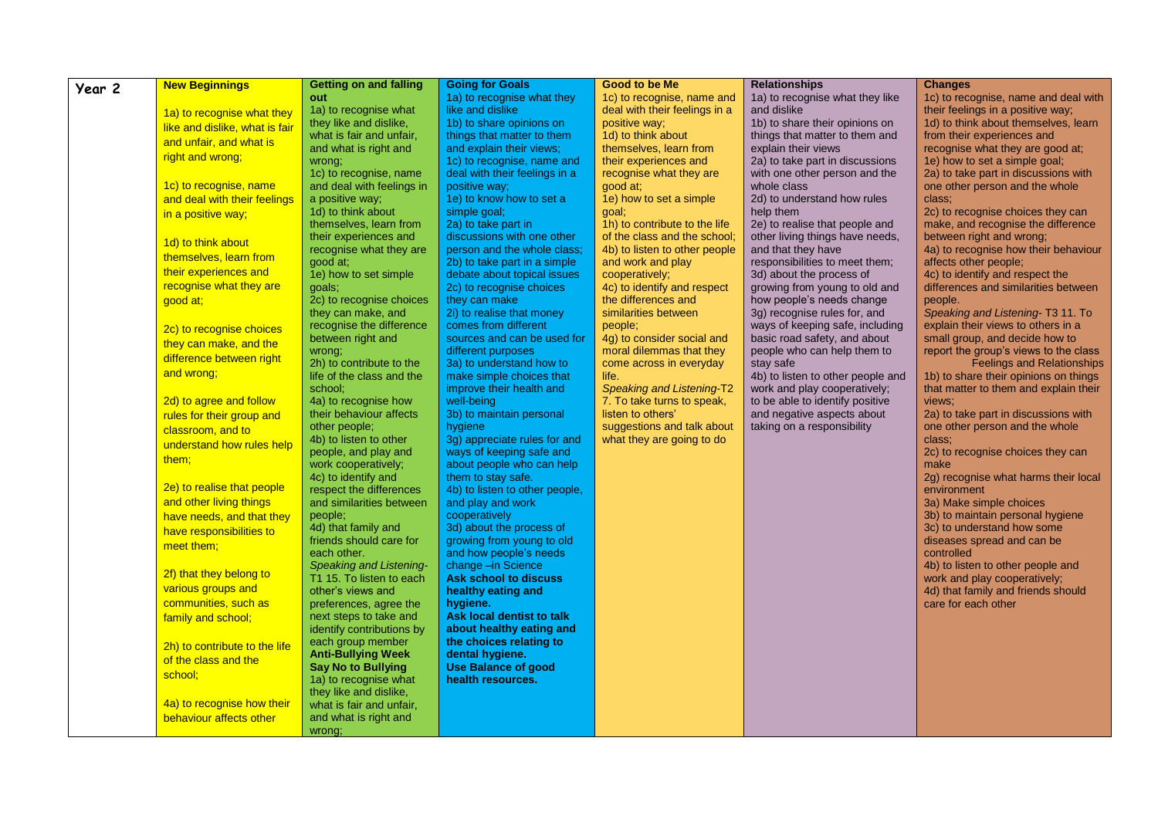| Year 2 | <b>New Beginnings</b>          | Getting on and falling                                 | <b>Going for Goals</b>                                      | <b>Good to be Me</b>                               | <b>Relationships</b>                                 | <b>Changes</b>                                                |
|--------|--------------------------------|--------------------------------------------------------|-------------------------------------------------------------|----------------------------------------------------|------------------------------------------------------|---------------------------------------------------------------|
|        |                                | out                                                    | 1a) to recognise what they                                  | 1c) to recognise, name and                         | 1a) to recognise what they like                      | 1c) to recognise, name and deal with                          |
|        | 1a) to recognise what they     | 1a) to recognise what                                  | like and dislike                                            | deal with their feelings in a                      | and dislike                                          | their feelings in a positive way;                             |
|        | like and dislike, what is fair | they like and dislike,                                 | 1b) to share opinions on                                    | positive way;                                      | 1b) to share their opinions on                       | 1d) to think about themselves, learn                          |
|        | and unfair, and what is        | what is fair and unfair.                               | things that matter to them                                  | 1d) to think about                                 | things that matter to them and                       | from their experiences and                                    |
|        |                                | and what is right and                                  | and explain their views;                                    | themselves, learn from                             | explain their views                                  | recognise what they are good at:                              |
|        | right and wrong;               | wrong;                                                 | 1c) to recognise, name and                                  | their experiences and                              | 2a) to take part in discussions                      | 1e) how to set a simple goal;                                 |
|        |                                | 1c) to recognise, name                                 | deal with their feelings in a                               | recognise what they are                            | with one other person and the                        | 2a) to take part in discussions with                          |
|        | 1c) to recognise, name         | and deal with feelings in                              | positive way;                                               | good at:                                           | whole class                                          | one other person and the whole                                |
|        | and deal with their feelings   | a positive way;                                        | 1e) to know how to set a                                    | 1e) how to set a simple                            | 2d) to understand how rules                          | class;                                                        |
|        | in a positive way;             | 1d) to think about                                     | simple goal;                                                | goal;                                              | help them                                            | 2c) to recognise choices they can                             |
|        |                                | themselves, learn from                                 | 2a) to take part in                                         | 1h) to contribute to the life                      | 2e) to realise that people and                       | make, and recognise the difference                            |
|        | 1d) to think about             | their experiences and                                  | discussions with one other                                  | of the class and the school:                       | other living things have needs.                      | between right and wrong;                                      |
|        | themselves, learn from         | recognise what they are<br>good at;                    | person and the whole class;                                 | 4b) to listen to other people<br>and work and play | and that they have<br>responsibilities to meet them; | 4a) to recognise how their behaviour<br>affects other people; |
|        | their experiences and          | 1e) how to set simple                                  | 2b) to take part in a simple<br>debate about topical issues | cooperatively;                                     | 3d) about the process of                             | 4c) to identify and respect the                               |
|        | recognise what they are        | goals;                                                 | 2c) to recognise choices                                    | 4c) to identify and respect                        | growing from young to old and                        | differences and similarities between                          |
|        | good at;                       | 2c) to recognise choices                               | they can make                                               | the differences and                                | how people's needs change                            | people.                                                       |
|        |                                | they can make, and                                     | 2i) to realise that money                                   | similarities between                               | 3g) recognise rules for, and                         | Speaking and Listening-T3 11. To                              |
|        | 2c) to recognise choices       | recognise the difference                               | comes from different                                        | people;                                            | ways of keeping safe, including                      | explain their views to others in a                            |
|        |                                | between right and                                      | sources and can be used for                                 | 4g) to consider social and                         | basic road safety, and about                         | small group, and decide how to                                |
|        | they can make, and the         | wrong;                                                 | different purposes                                          | moral dilemmas that they                           | people who can help them to                          | report the group's views to the class                         |
|        | difference between right       | 2h) to contribute to the                               | 3a) to understand how to                                    | come across in everyday                            | stay safe                                            | <b>Feelings and Relationships</b>                             |
|        | and wrong;                     | life of the class and the                              | make simple choices that                                    | life.                                              | 4b) to listen to other people and                    | 1b) to share their opinions on things                         |
|        |                                | school:                                                | improve their health and                                    | <b>Speaking and Listening-T2</b>                   | work and play cooperatively;                         | that matter to them and explain their                         |
|        | 2d) to agree and follow        | 4a) to recognise how                                   | well-being                                                  | 7. To take turns to speak,                         | to be able to identify positive                      | views;                                                        |
|        | rules for their group and      | their behaviour affects                                | 3b) to maintain personal                                    | listen to others'                                  | and negative aspects about                           | 2a) to take part in discussions with                          |
|        | classroom, and to              | other people;                                          | hygiene                                                     | suggestions and talk about                         | taking on a responsibility                           | one other person and the whole                                |
|        | understand how rules help      | 4b) to listen to other                                 | 3g) appreciate rules for and                                | what they are going to do                          |                                                      | class;                                                        |
|        | them;                          | people, and play and                                   | ways of keeping safe and                                    |                                                    |                                                      | 2c) to recognise choices they can                             |
|        |                                | work cooperatively;<br>4c) to identify and             | about people who can help<br>them to stay safe.             |                                                    |                                                      | make                                                          |
|        | 2e) to realise that people     | respect the differences                                | 4b) to listen to other people,                              |                                                    |                                                      | 2g) recognise what harms their local<br>environment           |
|        | and other living things        | and similarities between                               | and play and work                                           |                                                    |                                                      | 3a) Make simple choices                                       |
|        | have needs, and that they      | people;                                                | cooperatively                                               |                                                    |                                                      | 3b) to maintain personal hygiene                              |
|        | have responsibilities to       | 4d) that family and                                    | 3d) about the process of                                    |                                                    |                                                      | 3c) to understand how some                                    |
|        | meet them;                     | friends should care for                                | growing from young to old                                   |                                                    |                                                      | diseases spread and can be                                    |
|        |                                | each other.                                            | and how people's needs                                      |                                                    |                                                      | controlled                                                    |
|        |                                | <b>Speaking and Listening-</b>                         | change -in Science                                          |                                                    |                                                      | 4b) to listen to other people and                             |
|        | 2f) that they belong to        | T1 15. To listen to each                               | <b>Ask school to discuss</b>                                |                                                    |                                                      | work and play cooperatively;                                  |
|        | various groups and             | other's views and                                      | healthy eating and                                          |                                                    |                                                      | 4d) that family and friends should                            |
|        | communities, such as           | preferences, agree the                                 | hygiene.                                                    |                                                    |                                                      | care for each other                                           |
|        | family and school;             | next steps to take and                                 | Ask local dentist to talk                                   |                                                    |                                                      |                                                               |
|        |                                | identify contributions by                              | about healthy eating and                                    |                                                    |                                                      |                                                               |
|        | 2h) to contribute to the life  | each group member                                      | the choices relating to                                     |                                                    |                                                      |                                                               |
|        | of the class and the           | <b>Anti-Bullying Week</b><br><b>Say No to Bullying</b> | dental hygiene.<br><b>Use Balance of good</b>               |                                                    |                                                      |                                                               |
|        | school;                        | 1a) to recognise what                                  | health resources.                                           |                                                    |                                                      |                                                               |
|        |                                | they like and dislike,                                 |                                                             |                                                    |                                                      |                                                               |
|        | 4a) to recognise how their     | what is fair and unfair,                               |                                                             |                                                    |                                                      |                                                               |
|        | behaviour affects other        | and what is right and                                  |                                                             |                                                    |                                                      |                                                               |
|        |                                | wrong;                                                 |                                                             |                                                    |                                                      |                                                               |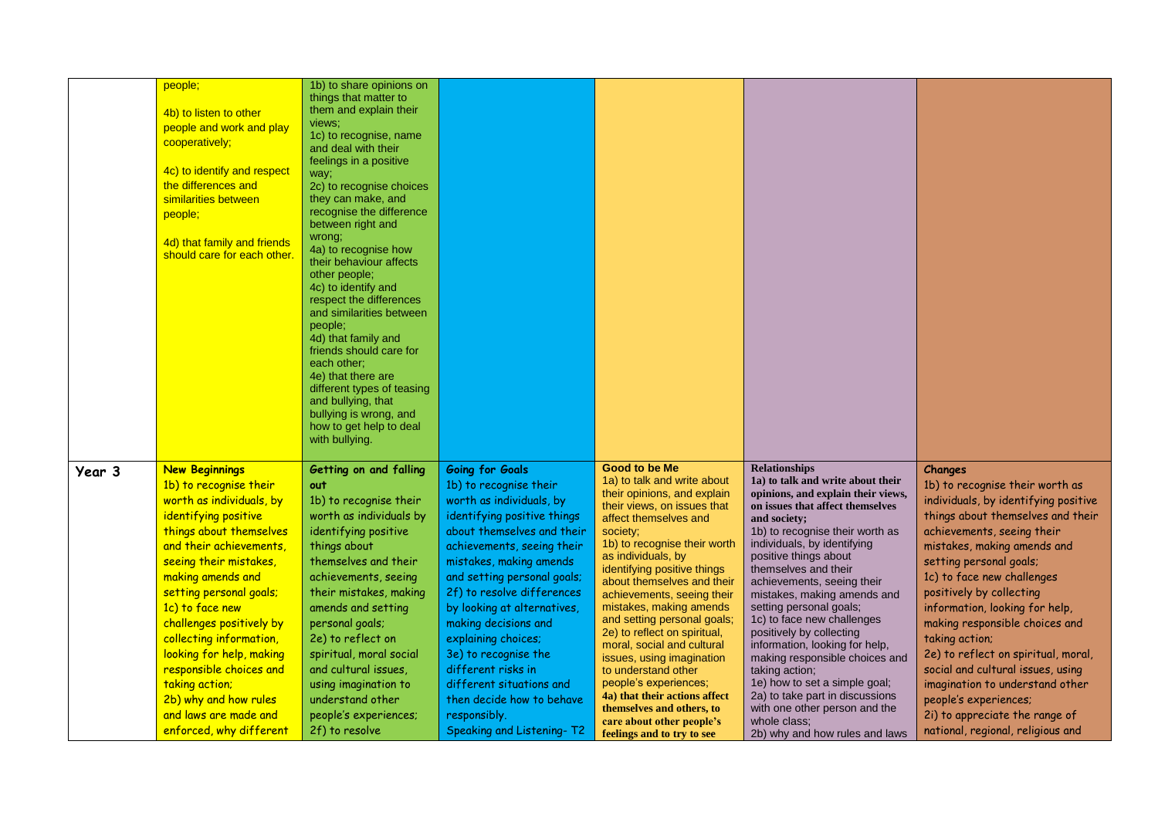|        | people;<br>4b) to listen to other<br>people and work and play<br>cooperatively;<br>4c) to identify and respect<br>the differences and<br>similarities between<br>people;<br>4d) that family and friends<br>should care for each other.                                                                                                                                                                                                                              | 1b) to share opinions on<br>things that matter to<br>them and explain their<br>views;<br>1c) to recognise, name<br>and deal with their<br>feelings in a positive<br>way;<br>2c) to recognise choices<br>they can make, and<br>recognise the difference<br>between right and<br>wrong;<br>4a) to recognise how<br>their behaviour affects<br>other people;<br>4c) to identify and<br>respect the differences<br>and similarities between<br>people:<br>4d) that family and<br>friends should care for<br>each other;<br>4e) that there are<br>different types of teasing<br>and bullying, that<br>bullying is wrong, and<br>how to get help to deal<br>with bullying. |                                                                                                                                                                                                                                                                                                                                                                                                                                                                                                   |                                                                                                                                                                                                                                                                                                                                                                                                                                                                                                                                                                                                                                |                                                                                                                                                                                                                                                                                                                                                                                                                                                                                                                                                                                                                                                                       |                                                                                                                                                                                                                                                                                                                                                                                                                                                                                                                                                                                |
|--------|---------------------------------------------------------------------------------------------------------------------------------------------------------------------------------------------------------------------------------------------------------------------------------------------------------------------------------------------------------------------------------------------------------------------------------------------------------------------|----------------------------------------------------------------------------------------------------------------------------------------------------------------------------------------------------------------------------------------------------------------------------------------------------------------------------------------------------------------------------------------------------------------------------------------------------------------------------------------------------------------------------------------------------------------------------------------------------------------------------------------------------------------------|---------------------------------------------------------------------------------------------------------------------------------------------------------------------------------------------------------------------------------------------------------------------------------------------------------------------------------------------------------------------------------------------------------------------------------------------------------------------------------------------------|--------------------------------------------------------------------------------------------------------------------------------------------------------------------------------------------------------------------------------------------------------------------------------------------------------------------------------------------------------------------------------------------------------------------------------------------------------------------------------------------------------------------------------------------------------------------------------------------------------------------------------|-----------------------------------------------------------------------------------------------------------------------------------------------------------------------------------------------------------------------------------------------------------------------------------------------------------------------------------------------------------------------------------------------------------------------------------------------------------------------------------------------------------------------------------------------------------------------------------------------------------------------------------------------------------------------|--------------------------------------------------------------------------------------------------------------------------------------------------------------------------------------------------------------------------------------------------------------------------------------------------------------------------------------------------------------------------------------------------------------------------------------------------------------------------------------------------------------------------------------------------------------------------------|
| Year 3 | <b>New Beginnings</b><br>1b) to recognise their<br>worth as individuals, by<br>identifying positive<br>things about themselves<br>and their achievements,<br>seeing their mistakes,<br>making amends and<br>setting personal goals;<br>1c) to face new<br>challenges positively by<br>collecting information,<br>looking for help, making<br>responsible choices and<br>taking action;<br>2b) why and how rules<br>and laws are made and<br>enforced, why different | Getting on and falling<br>out<br>1b) to recognise their<br>worth as individuals by<br>identifying positive<br>things about<br>themselves and their<br>achievements, seeing<br>their mistakes, making<br>amends and setting<br>personal goals;<br>2e) to reflect on<br>spiritual, moral social<br>and cultural issues,<br>using imagination to<br>understand other<br>people's experiences;<br>2f) to resolve                                                                                                                                                                                                                                                         | <b>Going for Goals</b><br>1b) to recognise their<br>worth as individuals, by<br>identifying positive things<br>about themselves and their<br>achievements, seeing their<br>mistakes, making amends<br>and setting personal goals;<br>2f) to resolve differences<br>by looking at alternatives,<br>making decisions and<br>explaining choices;<br>3e) to recognise the<br>different risks in<br>different situations and<br>then decide how to behave<br>responsibly.<br>Speaking and Listening-T2 | Good to be Me<br>1a) to talk and write about<br>their opinions, and explain<br>their views, on issues that<br>affect themselves and<br>society;<br>1b) to recognise their worth<br>as individuals, by<br>identifying positive things<br>about themselves and their<br>achievements, seeing their<br>mistakes, making amends<br>and setting personal goals;<br>2e) to reflect on spiritual,<br>moral, social and cultural<br>issues, using imagination<br>to understand other<br>people's experiences;<br>4a) that their actions affect<br>themselves and others, to<br>care about other people's<br>feelings and to try to see | <b>Relationships</b><br>1a) to talk and write about their<br>opinions, and explain their views,<br>on issues that affect themselves<br>and society;<br>1b) to recognise their worth as<br>individuals, by identifying<br>positive things about<br>themselves and their<br>achievements, seeing their<br>mistakes, making amends and<br>setting personal goals;<br>1c) to face new challenges<br>positively by collecting<br>information, looking for help,<br>making responsible choices and<br>taking action;<br>1e) how to set a simple goal;<br>2a) to take part in discussions<br>with one other person and the<br>whole class;<br>2b) why and how rules and laws | Changes<br>1b) to recognise their worth as<br>individuals, by identifying positive<br>things about themselves and their<br>achievements, seeing their<br>mistakes, making amends and<br>setting personal goals;<br>1c) to face new challenges<br>positively by collecting<br>information, looking for help,<br>making responsible choices and<br>taking action;<br>2e) to reflect on spiritual, moral,<br>social and cultural issues, using<br>imagination to understand other<br>people's experiences;<br>2i) to appreciate the range of<br>national, regional, religious and |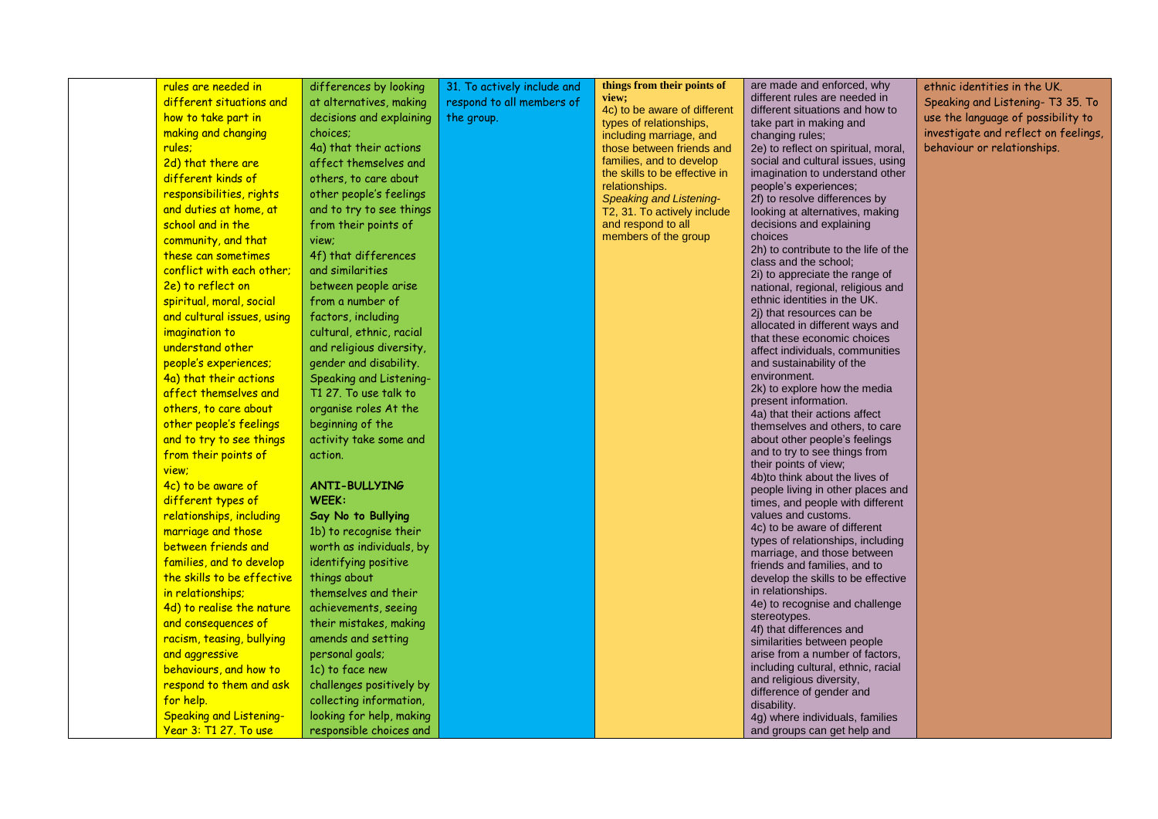| rules are needed in            | differences by looking   | 31. To actively include and | things from their points of                          | are made and enforced, why                                       | ethnic identities in the UK.         |
|--------------------------------|--------------------------|-----------------------------|------------------------------------------------------|------------------------------------------------------------------|--------------------------------------|
| different situations and       | at alternatives, making  | respond to all members of   | view;                                                | different rules are needed in                                    | Speaking and Listening-T3 35. To     |
| how to take part in            | decisions and explaining | the group.                  | 4c) to be aware of different                         | different situations and how to                                  | use the language of possibility to   |
| making and changing            | choices;                 |                             | types of relationships,                              | take part in making and                                          | investigate and reflect on feelings, |
| rules:                         | 4a) that their actions   |                             | including marriage, and<br>those between friends and | changing rules;<br>2e) to reflect on spiritual, moral,           | behaviour or relationships.          |
| 2d) that there are             | affect themselves and    |                             | families, and to develop                             | social and cultural issues, using                                |                                      |
| different kinds of             | others, to care about    |                             | the skills to be effective in                        | imagination to understand other                                  |                                      |
| responsibilities, rights       |                          |                             | relationships.                                       | people's experiences;                                            |                                      |
|                                | other people's feelings  |                             | <b>Speaking and Listening-</b>                       | 2f) to resolve differences by                                    |                                      |
| and duties at home, at         | and to try to see things |                             | T2, 31. To actively include<br>and respond to all    | looking at alternatives, making                                  |                                      |
| school and in the              | from their points of     |                             | members of the group                                 | decisions and explaining<br>choices                              |                                      |
| community, and that            | view;                    |                             |                                                      | 2h) to contribute to the life of the                             |                                      |
| these can sometimes            | 4f) that differences     |                             |                                                      | class and the school;                                            |                                      |
| conflict with each other;      | and similarities         |                             |                                                      | 2i) to appreciate the range of                                   |                                      |
| 2e) to reflect on              | between people arise     |                             |                                                      | national, regional, religious and                                |                                      |
| spiritual, moral, social       | from a number of         |                             |                                                      | ethnic identities in the UK.<br>2j) that resources can be        |                                      |
| and cultural issues, using     | factors, including       |                             |                                                      | allocated in different ways and                                  |                                      |
| imagination to                 | cultural, ethnic, racial |                             |                                                      | that these economic choices                                      |                                      |
| understand other               | and religious diversity, |                             |                                                      | affect individuals, communities                                  |                                      |
| people's experiences;          | gender and disability.   |                             |                                                      | and sustainability of the                                        |                                      |
| 4a) that their actions         | Speaking and Listening-  |                             |                                                      | environment.                                                     |                                      |
| affect themselves and          | T1 27. To use talk to    |                             |                                                      | 2k) to explore how the media<br>present information.             |                                      |
| others, to care about          | organise roles At the    |                             |                                                      | 4a) that their actions affect                                    |                                      |
| other people's feelings        | beginning of the         |                             |                                                      | themselves and others, to care                                   |                                      |
| and to try to see things       | activity take some and   |                             |                                                      | about other people's feelings                                    |                                      |
| from their points of           | action.                  |                             |                                                      | and to try to see things from                                    |                                      |
| view;                          |                          |                             |                                                      | their points of view;<br>4b)to think about the lives of          |                                      |
| 4c) to be aware of             | <b>ANTI-BULLYING</b>     |                             |                                                      | people living in other places and                                |                                      |
| different types of             | WEEK:                    |                             |                                                      | times, and people with different                                 |                                      |
| relationships, including       | Say No to Bullying       |                             |                                                      | values and customs.                                              |                                      |
| marriage and those             | 1b) to recognise their   |                             |                                                      | 4c) to be aware of different                                     |                                      |
| between friends and            | worth as individuals, by |                             |                                                      | types of relationships, including<br>marriage, and those between |                                      |
| families, and to develop       | identifying positive     |                             |                                                      | friends and families, and to                                     |                                      |
| the skills to be effective     | things about             |                             |                                                      | develop the skills to be effective                               |                                      |
| in relationships;              | themselves and their     |                             |                                                      | in relationships.                                                |                                      |
| 4d) to realise the nature      | achievements, seeing     |                             |                                                      | 4e) to recognise and challenge                                   |                                      |
| and consequences of            | their mistakes, making   |                             |                                                      | stereotypes.<br>4f) that differences and                         |                                      |
| racism, teasing, bullying      | amends and setting       |                             |                                                      | similarities between people                                      |                                      |
| and aggressive                 | personal goals;          |                             |                                                      | arise from a number of factors,                                  |                                      |
| behaviours, and how to         | 1c) to face new          |                             |                                                      | including cultural, ethnic, racial                               |                                      |
| respond to them and ask        | challenges positively by |                             |                                                      | and religious diversity,                                         |                                      |
| for help.                      | collecting information,  |                             |                                                      | difference of gender and<br>disability.                          |                                      |
| <b>Speaking and Listening-</b> | looking for help, making |                             |                                                      | 4g) where individuals, families                                  |                                      |
| Year 3: T1 27. To use          | responsible choices and  |                             |                                                      | and groups can get help and                                      |                                      |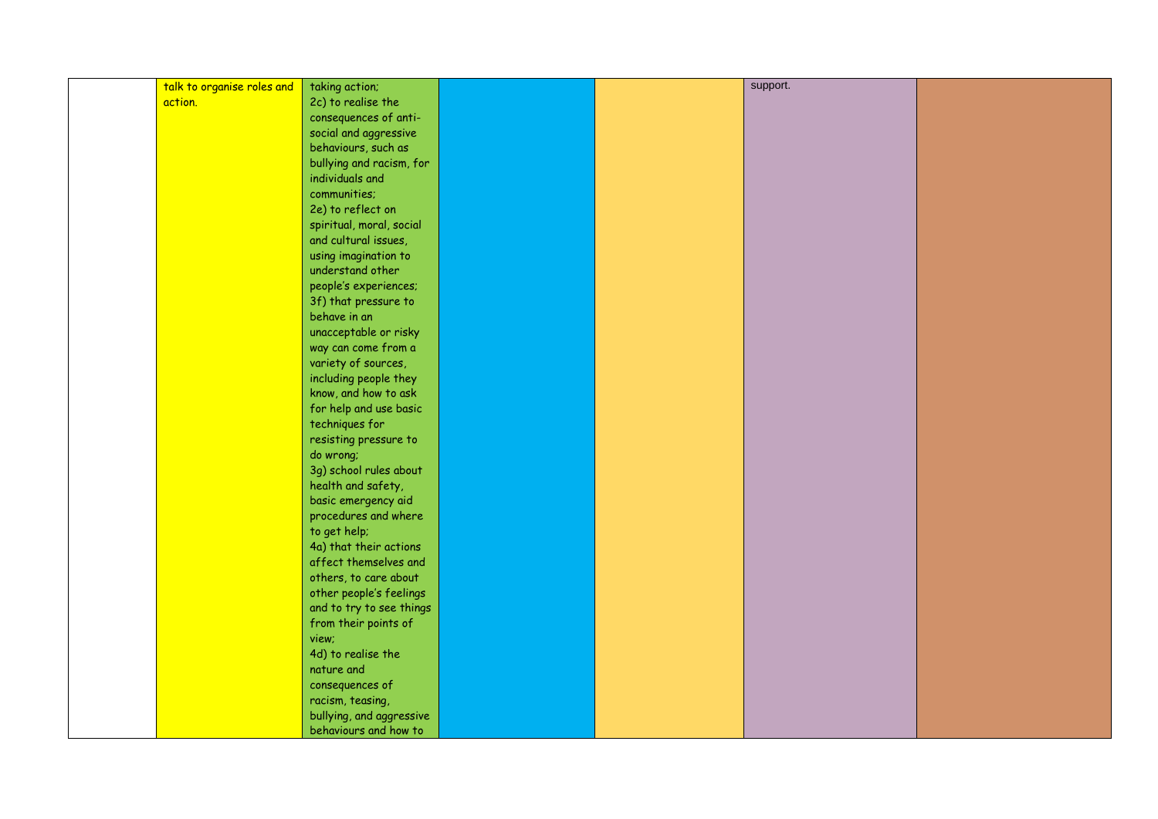| talk to organise roles and | taking action;                                | support. |  |
|----------------------------|-----------------------------------------------|----------|--|
| action.                    | 2c) to realise the                            |          |  |
|                            | consequences of anti-                         |          |  |
|                            | social and aggressive                         |          |  |
|                            | behaviours, such as                           |          |  |
|                            | bullying and racism, for                      |          |  |
|                            | individuals and                               |          |  |
|                            | communities;                                  |          |  |
|                            | 2e) to reflect on                             |          |  |
|                            | spiritual, moral, social                      |          |  |
|                            | and cultural issues,                          |          |  |
|                            | using imagination to                          |          |  |
|                            | understand other                              |          |  |
|                            | people's experiences;                         |          |  |
|                            | 3f) that pressure to                          |          |  |
|                            | behave in an                                  |          |  |
|                            | unacceptable or risky                         |          |  |
|                            | way can come from a                           |          |  |
|                            | variety of sources,                           |          |  |
|                            |                                               |          |  |
|                            | including people they<br>know, and how to ask |          |  |
|                            |                                               |          |  |
|                            | for help and use basic                        |          |  |
|                            | techniques for                                |          |  |
|                            | resisting pressure to                         |          |  |
|                            | do wrong;                                     |          |  |
|                            | 3g) school rules about                        |          |  |
|                            | health and safety,                            |          |  |
|                            | basic emergency aid                           |          |  |
|                            | procedures and where                          |          |  |
|                            | to get help;                                  |          |  |
|                            | 4a) that their actions                        |          |  |
|                            | affect themselves and                         |          |  |
|                            | others, to care about                         |          |  |
|                            | other people's feelings                       |          |  |
|                            | and to try to see things                      |          |  |
|                            | from their points of                          |          |  |
|                            | view;                                         |          |  |
|                            | 4d) to realise the                            |          |  |
|                            | nature and                                    |          |  |
|                            | consequences of                               |          |  |
|                            | racism, teasing,                              |          |  |
|                            | bullying, and aggressive                      |          |  |
|                            | behaviours and how to                         |          |  |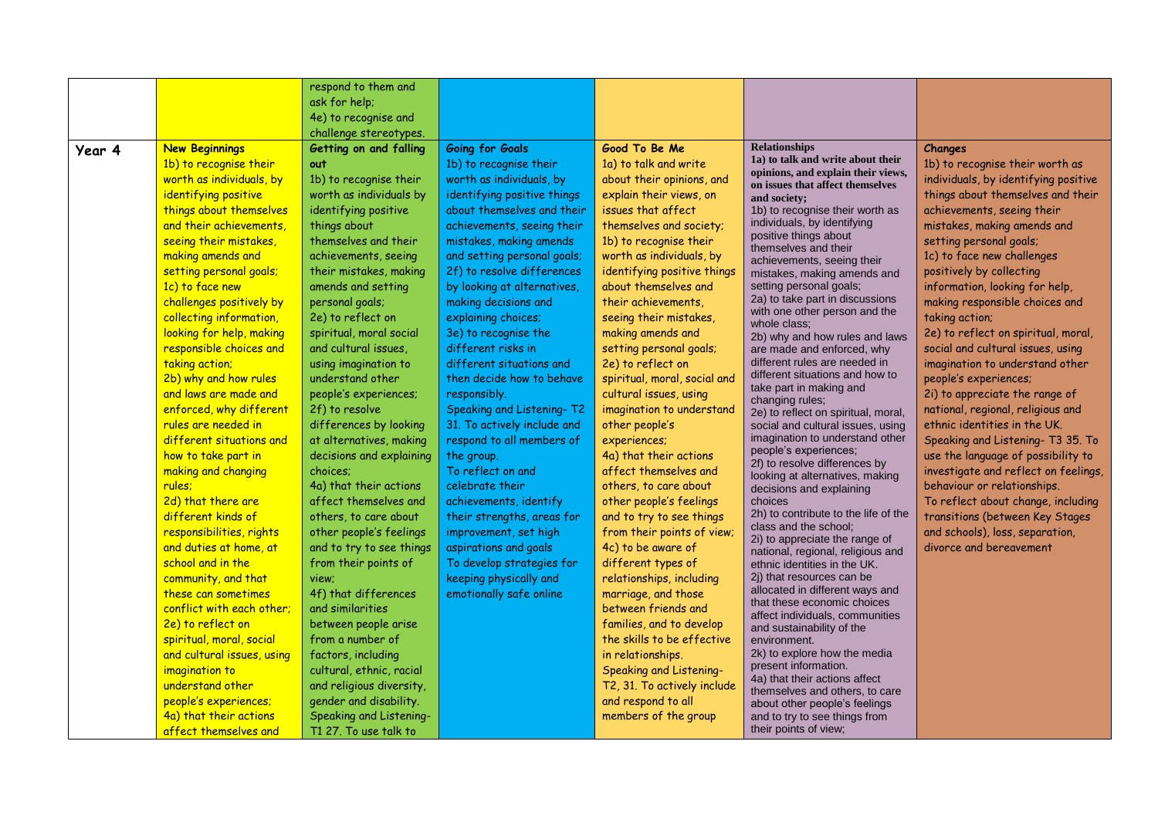| Year 4 | <b>New Beginnings</b><br>1b) to recognise their<br>worth as individuals, by<br>identifying positive<br>things about themselves<br>and their achievements,<br>seeing their mistakes,<br>making amends and<br>setting personal goals;<br>1c) to face new<br>challenges positively by<br>collecting information,<br>looking for help, making<br>responsible choices and<br>taking action;<br>2b) why and how rules<br>and laws are made and                                           | respond to them and<br>ask for help;<br>4e) to recognise and<br>challenge stereotypes.<br>Getting on and falling<br>out<br>1b) to recognise their<br>worth as individuals by<br>identifying positive<br>things about<br>themselves and their<br>achievements, seeing<br>their mistakes, making<br>amends and setting<br>personal goals;<br>2e) to reflect on<br>spiritual, moral social<br>and cultural issues,<br>using imagination to<br>understand other<br>people's experiences; | <b>Going for Goals</b><br>1b) to recognise their<br>worth as individuals, by<br>identifying positive things<br>about themselves and their<br>achievements, seeing their<br>mistakes, making amends<br>and setting personal goals;<br>2f) to resolve differences<br>by looking at alternatives,<br>making decisions and<br>explaining choices;<br>3e) to recognise the<br>different risks in<br>different situations and<br>then decide how to behave<br>responsibly. | Good To Be Me<br>1a) to talk and write<br>about their opinions, and<br>explain their views, on<br>issues that affect<br>themselves and society;<br>1b) to recognise their<br>worth as individuals, by<br>identifying positive things<br>about themselves and<br>their achievements,<br>seeing their mistakes,<br>making amends and<br>setting personal goals;<br>2e) to reflect on<br>spiritual, moral, social and<br>cultural issues, using                                                                             | <b>Relationships</b><br>1a) to talk and write about their<br>opinions, and explain their views,<br>on issues that affect themselves<br>and society;<br>1b) to recognise their worth as<br>individuals, by identifying<br>positive things about<br>themselves and their<br>achievements, seeing their<br>mistakes, making amends and<br>setting personal goals;<br>2a) to take part in discussions<br>with one other person and the<br>whole class:<br>2b) why and how rules and laws<br>are made and enforced, why<br>different rules are needed in<br>different situations and how to<br>take part in making and<br>changing rules;                                                                                              | Changes<br>1b) to recognise their worth as<br>individuals, by identifying positive<br>things about themselves and their<br>achievements, seeing their<br>mistakes, making amends and<br>setting personal goals;<br>1c) to face new challenges<br>positively by collecting<br>information, looking for help,<br>making responsible choices and<br>taking action;<br>2e) to reflect on spiritual, moral,<br>social and cultural issues, using<br>imagination to understand other<br>people's experiences;<br>2i) to appreciate the range of |
|--------|------------------------------------------------------------------------------------------------------------------------------------------------------------------------------------------------------------------------------------------------------------------------------------------------------------------------------------------------------------------------------------------------------------------------------------------------------------------------------------|--------------------------------------------------------------------------------------------------------------------------------------------------------------------------------------------------------------------------------------------------------------------------------------------------------------------------------------------------------------------------------------------------------------------------------------------------------------------------------------|----------------------------------------------------------------------------------------------------------------------------------------------------------------------------------------------------------------------------------------------------------------------------------------------------------------------------------------------------------------------------------------------------------------------------------------------------------------------|--------------------------------------------------------------------------------------------------------------------------------------------------------------------------------------------------------------------------------------------------------------------------------------------------------------------------------------------------------------------------------------------------------------------------------------------------------------------------------------------------------------------------|-----------------------------------------------------------------------------------------------------------------------------------------------------------------------------------------------------------------------------------------------------------------------------------------------------------------------------------------------------------------------------------------------------------------------------------------------------------------------------------------------------------------------------------------------------------------------------------------------------------------------------------------------------------------------------------------------------------------------------------|-------------------------------------------------------------------------------------------------------------------------------------------------------------------------------------------------------------------------------------------------------------------------------------------------------------------------------------------------------------------------------------------------------------------------------------------------------------------------------------------------------------------------------------------|
|        | enforced, why different<br>rules are needed in<br>different situations and<br>how to take part in<br>making and changing<br>rules;<br>2d) that there are<br>different kinds of<br>responsibilities, rights<br>and duties at home, at<br>school and in the<br>community, and that<br>these can sometimes<br>conflict with each other;<br>2e) to reflect on<br>spiritual, moral, social<br>and cultural issues, using<br>imagination to<br>understand other<br>people's experiences; | 2f) to resolve<br>differences by looking<br>at alternatives, making<br>decisions and explaining<br>choices:<br>4a) that their actions<br>affect themselves and<br>others, to care about<br>other people's feelings<br>and to try to see things<br>from their points of<br>view;<br>4f) that differences<br>and similarities<br>between people arise<br>from a number of<br>factors, including<br>cultural, ethnic, racial<br>and religious diversity,<br>gender and disability.      | Speaking and Listening-T2<br>31. To actively include and<br>respond to all members of<br>the group.<br>To reflect on and<br>celebrate their<br>achievements, identify<br>their strengths, areas for<br>improvement, set high<br>aspirations and goals<br>To develop strategies for<br>keeping physically and<br>emotionally safe online                                                                                                                              | imagination to understand<br>other people's<br>experiences;<br>4a) that their actions<br>affect themselves and<br>others, to care about<br>other people's feelings<br>and to try to see things<br>from their points of view;<br>4c) to be aware of<br>different types of<br>relationships, including<br>marriage, and those<br>between friends and<br>families, and to develop<br>the skills to be effective<br>in relationships.<br><b>Speaking and Listening-</b><br>T2, 31. To actively include<br>and respond to all | 2e) to reflect on spiritual, moral,<br>social and cultural issues, using<br>imagination to understand other<br>people's experiences;<br>2f) to resolve differences by<br>looking at alternatives, making<br>decisions and explaining<br>choices<br>2h) to contribute to the life of the<br>class and the school;<br>2i) to appreciate the range of<br>national, regional, religious and<br>ethnic identities in the UK.<br>2j) that resources can be<br>allocated in different ways and<br>that these economic choices<br>affect individuals, communities<br>and sustainability of the<br>environment.<br>2k) to explore how the media<br>present information.<br>4a) that their actions affect<br>themselves and others, to care | national, regional, religious and<br>ethnic identities in the UK.<br>Speaking and Listening-T3 35. To<br>use the language of possibility to<br>investigate and reflect on feelings,<br>behaviour or relationships.<br>To reflect about change, including<br>transitions (between Key Stages<br>and schools), loss, separation,<br>divorce and bereavement                                                                                                                                                                                 |
|        | 4a) that their actions<br>affect themselves and                                                                                                                                                                                                                                                                                                                                                                                                                                    | <b>Speaking and Listening-</b><br>T1 27. To use talk to                                                                                                                                                                                                                                                                                                                                                                                                                              |                                                                                                                                                                                                                                                                                                                                                                                                                                                                      | members of the group                                                                                                                                                                                                                                                                                                                                                                                                                                                                                                     | about other people's feelings<br>and to try to see things from<br>their points of view;                                                                                                                                                                                                                                                                                                                                                                                                                                                                                                                                                                                                                                           |                                                                                                                                                                                                                                                                                                                                                                                                                                                                                                                                           |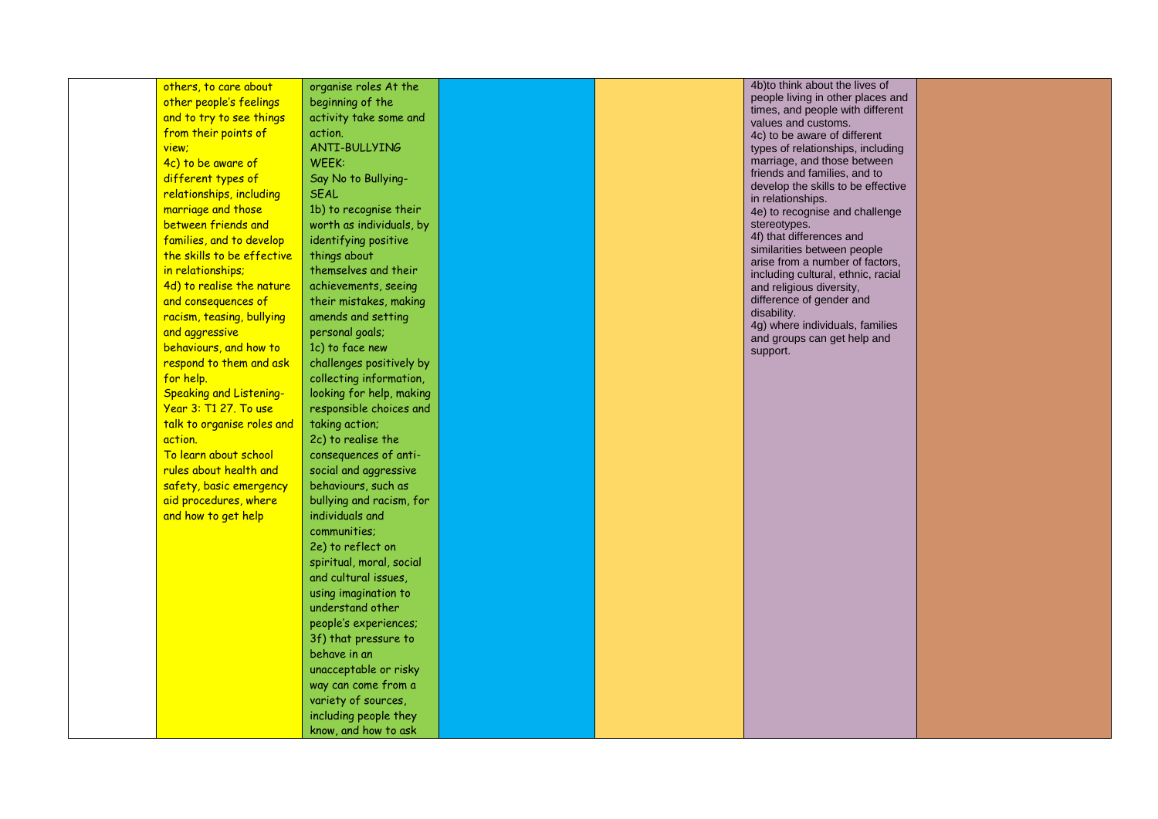|                                |                                                                                              |  | 4b) to think about the lives of                                    |  |
|--------------------------------|----------------------------------------------------------------------------------------------|--|--------------------------------------------------------------------|--|
| others, to care about          | organise roles At the                                                                        |  | people living in other places and                                  |  |
| other people's feelings        | beginning of the                                                                             |  | times, and people with different                                   |  |
| and to try to see things       | activity take some and                                                                       |  | values and customs.                                                |  |
| from their points of           | action.                                                                                      |  | 4c) to be aware of different                                       |  |
| view;                          | ANTI-BULLYING                                                                                |  | types of relationships, including                                  |  |
| 4c) to be aware of             | WEEK:                                                                                        |  | marriage, and those between                                        |  |
| different types of             | Say No to Bullying-                                                                          |  | friends and families, and to<br>develop the skills to be effective |  |
| relationships, including       | <b>SEAL</b>                                                                                  |  | in relationships.                                                  |  |
| marriage and those             | 1b) to recognise their                                                                       |  | 4e) to recognise and challenge                                     |  |
| between friends and            | worth as individuals, by                                                                     |  | stereotypes.                                                       |  |
| families, and to develop       | identifying positive                                                                         |  | 4f) that differences and                                           |  |
| the skills to be effective     | things about                                                                                 |  | similarities between people<br>arise from a number of factors,     |  |
| in relationships;              | themselves and their                                                                         |  | including cultural, ethnic, racial                                 |  |
| 4d) to realise the nature      | achievements, seeing                                                                         |  | and religious diversity,                                           |  |
| and consequences of            | their mistakes, making                                                                       |  | difference of gender and                                           |  |
| racism, teasing, bullying      | amends and setting                                                                           |  | disability.                                                        |  |
| and aggressive                 | personal goals;                                                                              |  | 4g) where individuals, families<br>and groups can get help and     |  |
| behaviours, and how to         | 1c) to face new                                                                              |  | support.                                                           |  |
| respond to them and ask        | challenges positively by                                                                     |  |                                                                    |  |
| for help.                      | collecting information,                                                                      |  |                                                                    |  |
| <b>Speaking and Listening-</b> | looking for help, making                                                                     |  |                                                                    |  |
| Year 3: T1 27. To use          | responsible choices and                                                                      |  |                                                                    |  |
| talk to organise roles and     | taking action;                                                                               |  |                                                                    |  |
| action.                        | 2c) to realise the                                                                           |  |                                                                    |  |
| To learn about school          | consequences of anti-                                                                        |  |                                                                    |  |
| rules about health and         | social and aggressive                                                                        |  |                                                                    |  |
| safety, basic emergency        | behaviours, such as                                                                          |  |                                                                    |  |
| aid procedures, where          | bullying and racism, for                                                                     |  |                                                                    |  |
| and how to get help            | individuals and                                                                              |  |                                                                    |  |
|                                | communities;                                                                                 |  |                                                                    |  |
|                                | 2e) to reflect on                                                                            |  |                                                                    |  |
|                                | spiritual, moral, social                                                                     |  |                                                                    |  |
|                                | and cultural issues,                                                                         |  |                                                                    |  |
|                                | using imagination to                                                                         |  |                                                                    |  |
|                                | understand other                                                                             |  |                                                                    |  |
|                                | people's experiences;                                                                        |  |                                                                    |  |
|                                | 3f) that pressure to                                                                         |  |                                                                    |  |
|                                | behave in an                                                                                 |  |                                                                    |  |
|                                |                                                                                              |  |                                                                    |  |
|                                |                                                                                              |  |                                                                    |  |
|                                |                                                                                              |  |                                                                    |  |
|                                |                                                                                              |  |                                                                    |  |
|                                | know, and how to ask                                                                         |  |                                                                    |  |
|                                | unacceptable or risky<br>way can come from a<br>variety of sources,<br>including people they |  |                                                                    |  |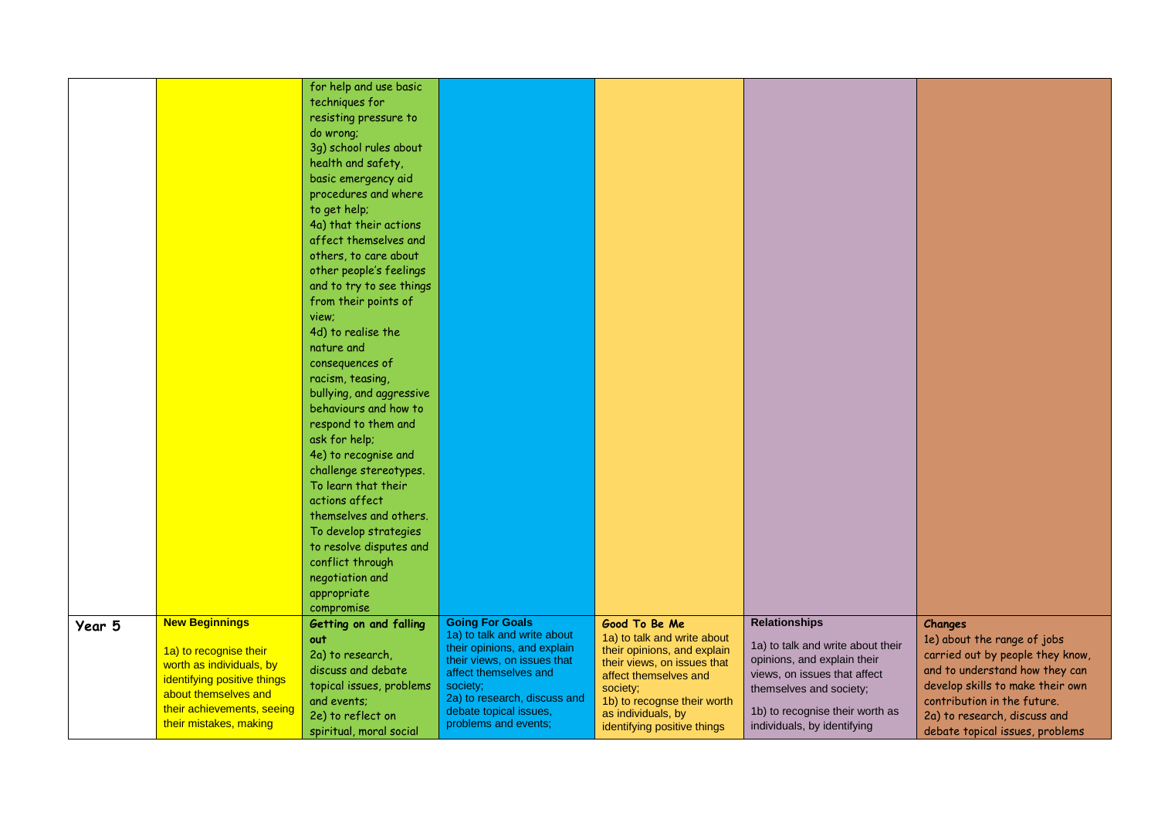|        |                                                                                                                                                                                            | for help and use basic<br>techniques for<br>resisting pressure to<br>do wrong;<br>3g) school rules about<br>health and safety,<br>basic emergency aid<br>procedures and where<br>to get help;<br>4a) that their actions<br>affect themselves and<br>others, to care about<br>other people's feelings<br>and to try to see things<br>from their points of<br>view;<br>4d) to realise the<br>nature and<br>consequences of<br>racism, teasing,<br>bullying, and aggressive<br>behaviours and how to<br>respond to them and<br>ask for help;<br>4e) to recognise and<br>challenge stereotypes.<br>To learn that their<br>actions affect<br>themselves and others.<br>To develop strategies<br>to resolve disputes and<br>conflict through<br>negotiation and<br>appropriate<br>compromise |                                                                                                                                                                                                                                            |                                                                                                                                                                                                                                     |                                                                                                                                                                                                                       |                                                                                                                                                                                                                                                    |
|--------|--------------------------------------------------------------------------------------------------------------------------------------------------------------------------------------------|----------------------------------------------------------------------------------------------------------------------------------------------------------------------------------------------------------------------------------------------------------------------------------------------------------------------------------------------------------------------------------------------------------------------------------------------------------------------------------------------------------------------------------------------------------------------------------------------------------------------------------------------------------------------------------------------------------------------------------------------------------------------------------------|--------------------------------------------------------------------------------------------------------------------------------------------------------------------------------------------------------------------------------------------|-------------------------------------------------------------------------------------------------------------------------------------------------------------------------------------------------------------------------------------|-----------------------------------------------------------------------------------------------------------------------------------------------------------------------------------------------------------------------|----------------------------------------------------------------------------------------------------------------------------------------------------------------------------------------------------------------------------------------------------|
| Year 5 | <b>New Beginnings</b><br>1a) to recognise their<br>worth as individuals, by<br>identifying positive things<br>about themselves and<br>their achievements, seeing<br>their mistakes, making | Getting on and falling<br>out<br>2a) to research,<br>discuss and debate<br>topical issues, problems<br>and events;<br>2e) to reflect on<br>spiritual, moral social                                                                                                                                                                                                                                                                                                                                                                                                                                                                                                                                                                                                                     | <b>Going For Goals</b><br>1a) to talk and write about<br>their opinions, and explain<br>their views, on issues that<br>affect themselves and<br>society;<br>2a) to research, discuss and<br>debate topical issues,<br>problems and events; | Good To Be Me<br>1a) to talk and write about<br>their opinions, and explain<br>their views, on issues that<br>affect themselves and<br>society;<br>1b) to recognse their worth<br>as individuals, by<br>identifying positive things | <b>Relationships</b><br>1a) to talk and write about their<br>opinions, and explain their<br>views, on issues that affect<br>themselves and society;<br>1b) to recognise their worth as<br>individuals, by identifying | Changes<br>1e) about the range of jobs<br>carried out by people they know,<br>and to understand how they can<br>develop skills to make their own<br>contribution in the future.<br>2a) to research, discuss and<br>debate topical issues, problems |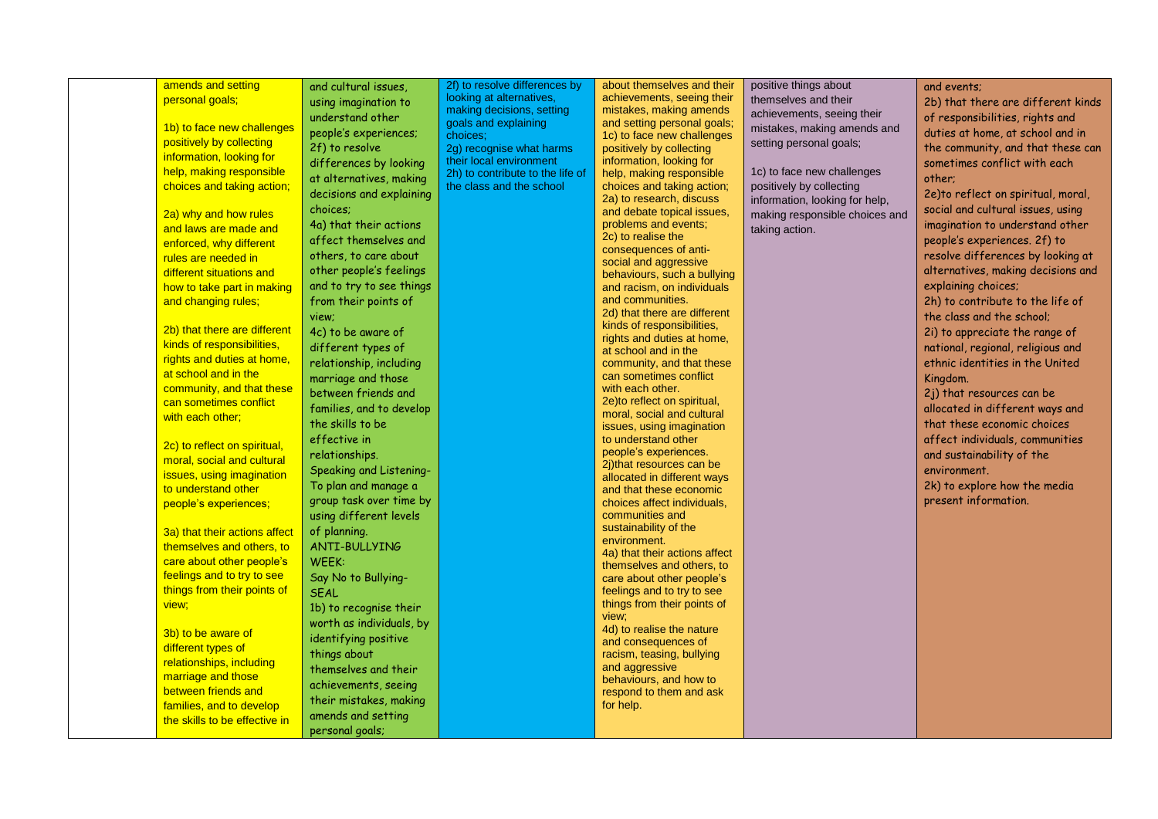| amends and setting            |                                | 2f) to resolve differences by    | about themselves and their                                 |                                               |                                    |
|-------------------------------|--------------------------------|----------------------------------|------------------------------------------------------------|-----------------------------------------------|------------------------------------|
| personal goals;               | and cultural issues,           | looking at alternatives,         | achievements, seeing their                                 | positive things about<br>themselves and their | and events:                        |
|                               | using imagination to           | making decisions, setting        | mistakes, making amends                                    |                                               | 2b) that there are different kinds |
| 1b) to face new challenges    | understand other               | goals and explaining             | and setting personal goals;                                | achievements, seeing their                    | of responsibilities, rights and    |
|                               | people's experiences;          | choices:                         | 1c) to face new challenges                                 | mistakes, making amends and                   | duties at home, at school and in   |
| positively by collecting      | 2f) to resolve                 | 2g) recognise what harms         | positively by collecting                                   | setting personal goals;                       | the community, and that these can  |
| information, looking for      | differences by looking         | their local environment          | information, looking for                                   |                                               | sometimes conflict with each       |
| help, making responsible      | at alternatives, making        | 2h) to contribute to the life of | help, making responsible                                   | 1c) to face new challenges                    | other;                             |
| choices and taking action;    | decisions and explaining       | the class and the school         | choices and taking action;                                 | positively by collecting                      | 2e)to reflect on spiritual, moral, |
|                               | choices:                       |                                  | 2a) to research, discuss<br>and debate topical issues,     | information, looking for help,                | social and cultural issues, using  |
| 2a) why and how rules         | 4a) that their actions         |                                  | problems and events;                                       | making responsible choices and                | imagination to understand other    |
| and laws are made and         | affect themselves and          |                                  | 2c) to realise the                                         | taking action.                                | people's experiences. 2f) to       |
| enforced, why different       |                                |                                  | consequences of anti-                                      |                                               |                                    |
| rules are needed in           | others, to care about          |                                  | social and aggressive                                      |                                               | resolve differences by looking at  |
| different situations and      | other people's feelings        |                                  | behaviours, such a bullying                                |                                               | alternatives, making decisions and |
| how to take part in making    | and to try to see things       |                                  | and racism, on individuals                                 |                                               | explaining choices;                |
| and changing rules;           | from their points of           |                                  | and communities.                                           |                                               | 2h) to contribute to the life of   |
|                               | view;                          |                                  | 2d) that there are different<br>kinds of responsibilities, |                                               | the class and the school:          |
| 2b) that there are different  | 4c) to be aware of             |                                  | rights and duties at home,                                 |                                               | 2i) to appreciate the range of     |
| kinds of responsibilities,    | different types of             |                                  | at school and in the                                       |                                               | national, regional, religious and  |
| rights and duties at home,    | relationship, including        |                                  | community, and that these                                  |                                               | ethnic identities in the United    |
| at school and in the          | marriage and those             |                                  | can sometimes conflict                                     |                                               | Kingdom.                           |
| community, and that these     | between friends and            |                                  | with each other.                                           |                                               | 2j) that resources can be          |
| can sometimes conflict        | families, and to develop       |                                  | 2e)to reflect on spiritual,                                |                                               | allocated in different ways and    |
| with each other:              | the skills to be               |                                  | moral, social and cultural<br>issues, using imagination    |                                               | that these economic choices        |
|                               | effective in                   |                                  | to understand other                                        |                                               | affect individuals, communities    |
| 2c) to reflect on spiritual,  | relationships.                 |                                  | people's experiences.                                      |                                               | and sustainability of the          |
| moral, social and cultural    | <b>Speaking and Listening-</b> |                                  | 2j)that resources can be                                   |                                               | environment.                       |
| issues, using imagination     | To plan and manage a           |                                  | allocated in different ways                                |                                               |                                    |
| to understand other           |                                |                                  | and that these economic                                    |                                               | 2k) to explore how the media       |
| people's experiences;         | group task over time by        |                                  | choices affect individuals,                                |                                               | present information.               |
|                               | using different levels         |                                  | communities and<br>sustainability of the                   |                                               |                                    |
| 3a) that their actions affect | of planning.                   |                                  | environment.                                               |                                               |                                    |
| themselves and others, to     | <b>ANTI-BULLYING</b>           |                                  | 4a) that their actions affect                              |                                               |                                    |
| care about other people's     | WEEK:                          |                                  | themselves and others, to                                  |                                               |                                    |
| feelings and to try to see    | Say No to Bullying-            |                                  | care about other people's                                  |                                               |                                    |
| things from their points of   | <b>SEAL</b>                    |                                  | feelings and to try to see                                 |                                               |                                    |
| view;                         | 1b) to recognise their         |                                  | things from their points of                                |                                               |                                    |
|                               | worth as individuals, by       |                                  | view;<br>4d) to realise the nature                         |                                               |                                    |
| 3b) to be aware of            | identifying positive           |                                  | and consequences of                                        |                                               |                                    |
| different types of            | things about                   |                                  | racism, teasing, bullying                                  |                                               |                                    |
| relationships, including      | themselves and their           |                                  | and aggressive                                             |                                               |                                    |
| marriage and those            | achievements, seeing           |                                  | behaviours, and how to                                     |                                               |                                    |
| between friends and           | their mistakes, making         |                                  | respond to them and ask                                    |                                               |                                    |
| families, and to develop      | amends and setting             |                                  | for help.                                                  |                                               |                                    |
| the skills to be effective in |                                |                                  |                                                            |                                               |                                    |
|                               | personal goals;                |                                  |                                                            |                                               |                                    |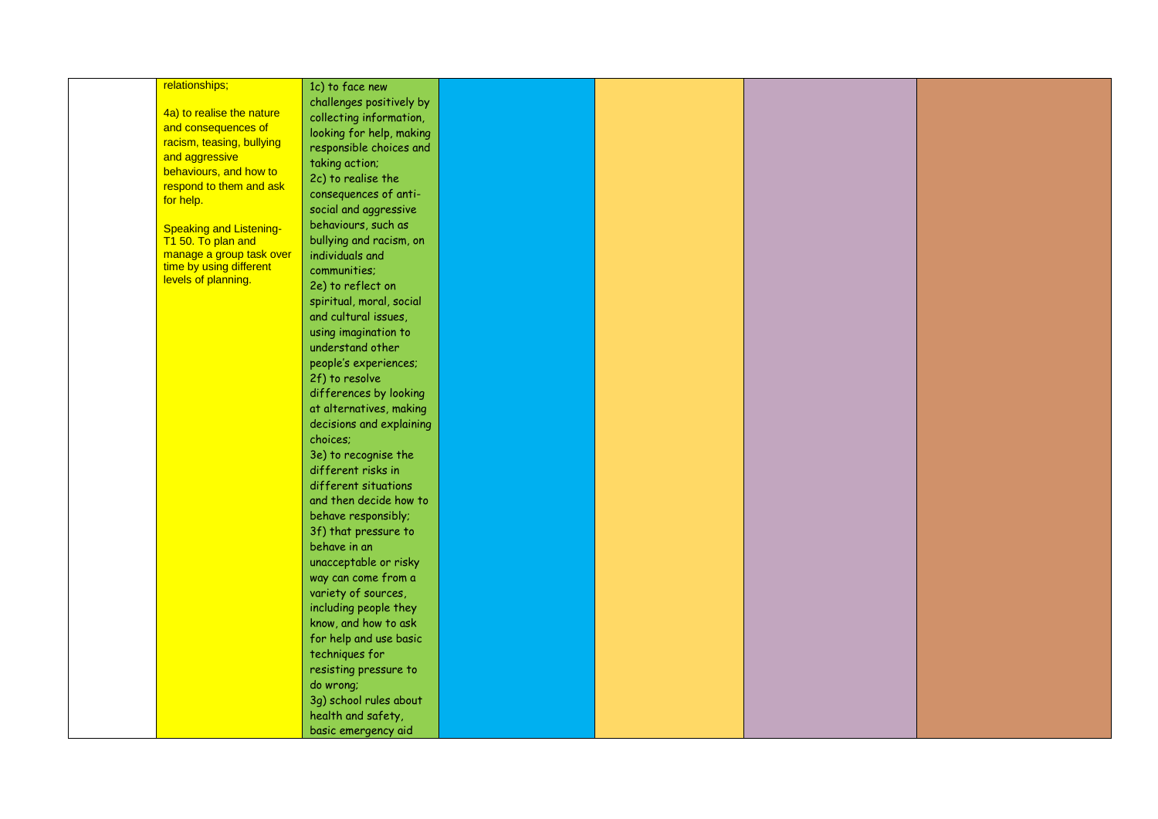| relationships;                 | 1c) to face new          |  |  |
|--------------------------------|--------------------------|--|--|
|                                | challenges positively by |  |  |
| 4a) to realise the nature      | collecting information,  |  |  |
| and consequences of            |                          |  |  |
| racism, teasing, bullying      | looking for help, making |  |  |
| and aggressive                 | responsible choices and  |  |  |
| behaviours, and how to         | taking action;           |  |  |
|                                | 2c) to realise the       |  |  |
| respond to them and ask        | consequences of anti-    |  |  |
| for help.                      | social and aggressive    |  |  |
| <b>Speaking and Listening-</b> | behaviours, such as      |  |  |
| T1 50. To plan and             | bullying and racism, on  |  |  |
| manage a group task over       | individuals and          |  |  |
| time by using different        | communities;             |  |  |
| levels of planning.            |                          |  |  |
|                                | 2e) to reflect on        |  |  |
|                                | spiritual, moral, social |  |  |
|                                | and cultural issues,     |  |  |
|                                | using imagination to     |  |  |
|                                | understand other         |  |  |
|                                | people's experiences;    |  |  |
|                                | 2f) to resolve           |  |  |
|                                | differences by looking   |  |  |
|                                | at alternatives, making  |  |  |
|                                | decisions and explaining |  |  |
|                                | choices;                 |  |  |
|                                | 3e) to recognise the     |  |  |
|                                | different risks in       |  |  |
|                                | different situations     |  |  |
|                                | and then decide how to   |  |  |
|                                | behave responsibly;      |  |  |
|                                | 3f) that pressure to     |  |  |
|                                | behave in an             |  |  |
|                                | unacceptable or risky    |  |  |
|                                | way can come from a      |  |  |
|                                | variety of sources,      |  |  |
|                                | including people they    |  |  |
|                                | know, and how to ask     |  |  |
|                                | for help and use basic   |  |  |
|                                |                          |  |  |
|                                | techniques for           |  |  |
|                                | resisting pressure to    |  |  |
|                                | do wrong;                |  |  |
|                                | 3g) school rules about   |  |  |
|                                | health and safety,       |  |  |
|                                | basic emergency aid      |  |  |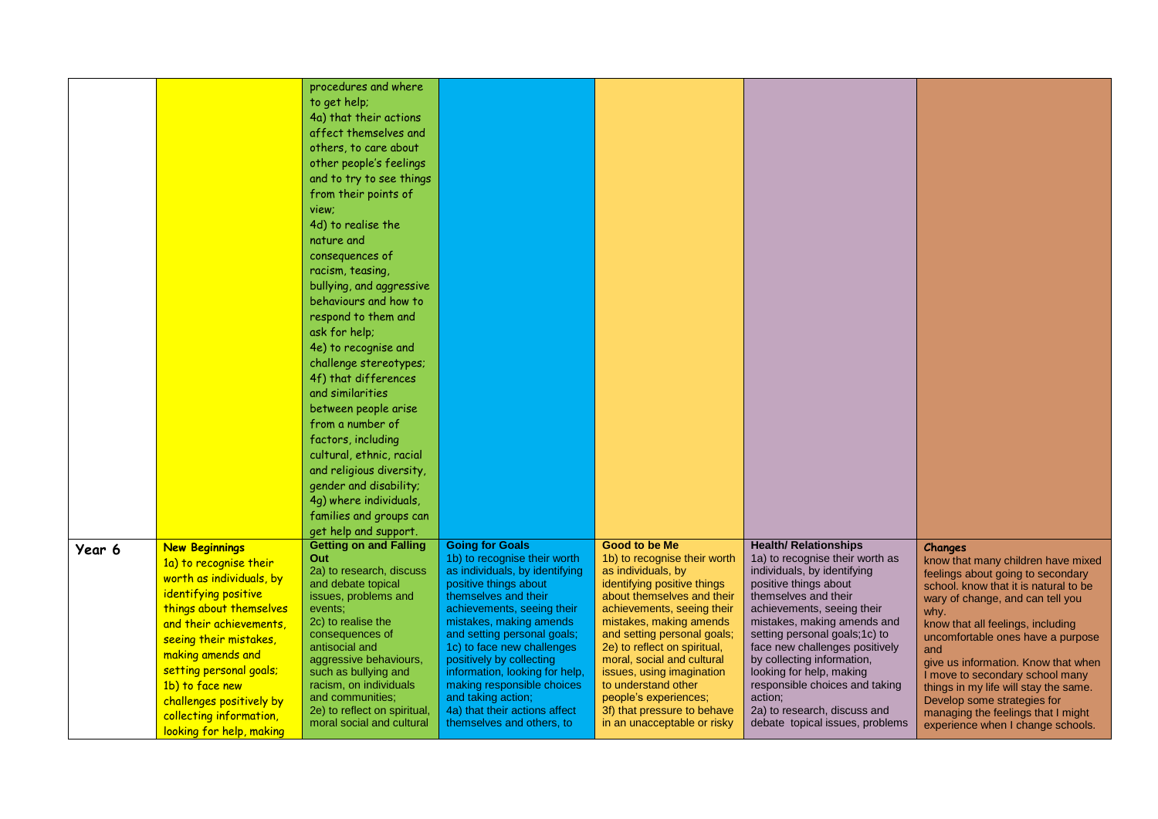|        |                                                     | procedures and where                                      |                                                                |                                                    |                                                                 |                                                                            |
|--------|-----------------------------------------------------|-----------------------------------------------------------|----------------------------------------------------------------|----------------------------------------------------|-----------------------------------------------------------------|----------------------------------------------------------------------------|
|        |                                                     | to get help;                                              |                                                                |                                                    |                                                                 |                                                                            |
|        |                                                     | 4a) that their actions                                    |                                                                |                                                    |                                                                 |                                                                            |
|        |                                                     | affect themselves and                                     |                                                                |                                                    |                                                                 |                                                                            |
|        |                                                     | others, to care about                                     |                                                                |                                                    |                                                                 |                                                                            |
|        |                                                     | other people's feelings                                   |                                                                |                                                    |                                                                 |                                                                            |
|        |                                                     | and to try to see things                                  |                                                                |                                                    |                                                                 |                                                                            |
|        |                                                     | from their points of                                      |                                                                |                                                    |                                                                 |                                                                            |
|        |                                                     | view:                                                     |                                                                |                                                    |                                                                 |                                                                            |
|        |                                                     | 4d) to realise the                                        |                                                                |                                                    |                                                                 |                                                                            |
|        |                                                     | nature and                                                |                                                                |                                                    |                                                                 |                                                                            |
|        |                                                     | consequences of                                           |                                                                |                                                    |                                                                 |                                                                            |
|        |                                                     | racism, teasing,                                          |                                                                |                                                    |                                                                 |                                                                            |
|        |                                                     | bullying, and aggressive                                  |                                                                |                                                    |                                                                 |                                                                            |
|        |                                                     | behaviours and how to                                     |                                                                |                                                    |                                                                 |                                                                            |
|        |                                                     | respond to them and                                       |                                                                |                                                    |                                                                 |                                                                            |
|        |                                                     | ask for help;                                             |                                                                |                                                    |                                                                 |                                                                            |
|        |                                                     | 4e) to recognise and                                      |                                                                |                                                    |                                                                 |                                                                            |
|        |                                                     | challenge stereotypes;                                    |                                                                |                                                    |                                                                 |                                                                            |
|        |                                                     | 4f) that differences                                      |                                                                |                                                    |                                                                 |                                                                            |
|        |                                                     | and similarities                                          |                                                                |                                                    |                                                                 |                                                                            |
|        |                                                     | between people arise                                      |                                                                |                                                    |                                                                 |                                                                            |
|        |                                                     | from a number of                                          |                                                                |                                                    |                                                                 |                                                                            |
|        |                                                     |                                                           |                                                                |                                                    |                                                                 |                                                                            |
|        |                                                     | factors, including                                        |                                                                |                                                    |                                                                 |                                                                            |
|        |                                                     | cultural, ethnic, racial                                  |                                                                |                                                    |                                                                 |                                                                            |
|        |                                                     | and religious diversity,                                  |                                                                |                                                    |                                                                 |                                                                            |
|        |                                                     | gender and disability;                                    |                                                                |                                                    |                                                                 |                                                                            |
|        |                                                     | 4q) where individuals,                                    |                                                                |                                                    |                                                                 |                                                                            |
|        |                                                     | families and groups can                                   |                                                                |                                                    |                                                                 |                                                                            |
|        |                                                     | get help and support.                                     |                                                                |                                                    |                                                                 |                                                                            |
| Year 6 | <b>New Beginnings</b>                               | <b>Getting on and Falling</b>                             | <b>Going for Goals</b>                                         | <b>Good to be Me</b>                               | <b>Health/ Relationships</b>                                    | Changes                                                                    |
|        | 1a) to recognise their                              | Out<br>2a) to research, discuss                           | 1b) to recognise their worth<br>as individuals, by identifying | 1b) to recognise their worth<br>as individuals, by | 1a) to recognise their worth as<br>individuals, by identifying  | know that many children have mixed                                         |
|        | worth as individuals, by                            | and debate topical                                        | positive things about                                          | identifying positive things                        | positive things about                                           | feelings about going to secondary<br>school. know that it is natural to be |
|        | identifying positive                                | issues, problems and                                      | themselves and their                                           | about themselves and their                         | themselves and their                                            | wary of change, and can tell you                                           |
|        | things about themselves                             | events:                                                   | achievements, seeing their                                     | achievements, seeing their                         | achievements, seeing their                                      | why.                                                                       |
|        | and their achievements,                             | 2c) to realise the                                        | mistakes, making amends                                        | mistakes, making amends                            | mistakes, making amends and                                     | know that all feelings, including                                          |
|        |                                                     | consequences of                                           | and setting personal goals;                                    | and setting personal goals;                        | setting personal goals; 1c) to                                  | uncomfortable ones have a purpose                                          |
|        |                                                     |                                                           |                                                                | 2e) to reflect on spiritual,                       | face new challenges positively                                  |                                                                            |
|        | seeing their mistakes,                              | antisocial and                                            | 1c) to face new challenges                                     |                                                    |                                                                 | and                                                                        |
|        | making amends and                                   | aggressive behaviours,                                    | positively by collecting                                       | moral, social and cultural                         | by collecting information,                                      | give us information. Know that when                                        |
|        | setting personal goals;                             | such as bullying and                                      | information, looking for help,                                 | issues, using imagination                          | looking for help, making                                        | I move to secondary school many                                            |
|        | 1b) to face new                                     | racism, on individuals<br>and communities;                | making responsible choices<br>and taking action;               | to understand other<br>people's experiences;       | responsible choices and taking<br>action;                       | things in my life will stay the same.                                      |
|        | challenges positively by<br>collecting information, | 2e) to reflect on spiritual,<br>moral social and cultural | 4a) that their actions affect<br>themselves and others, to     | 3f) that pressure to behave                        | 2a) to research, discuss and<br>debate topical issues, problems | Develop some strategies for<br>managing the feelings that I might          |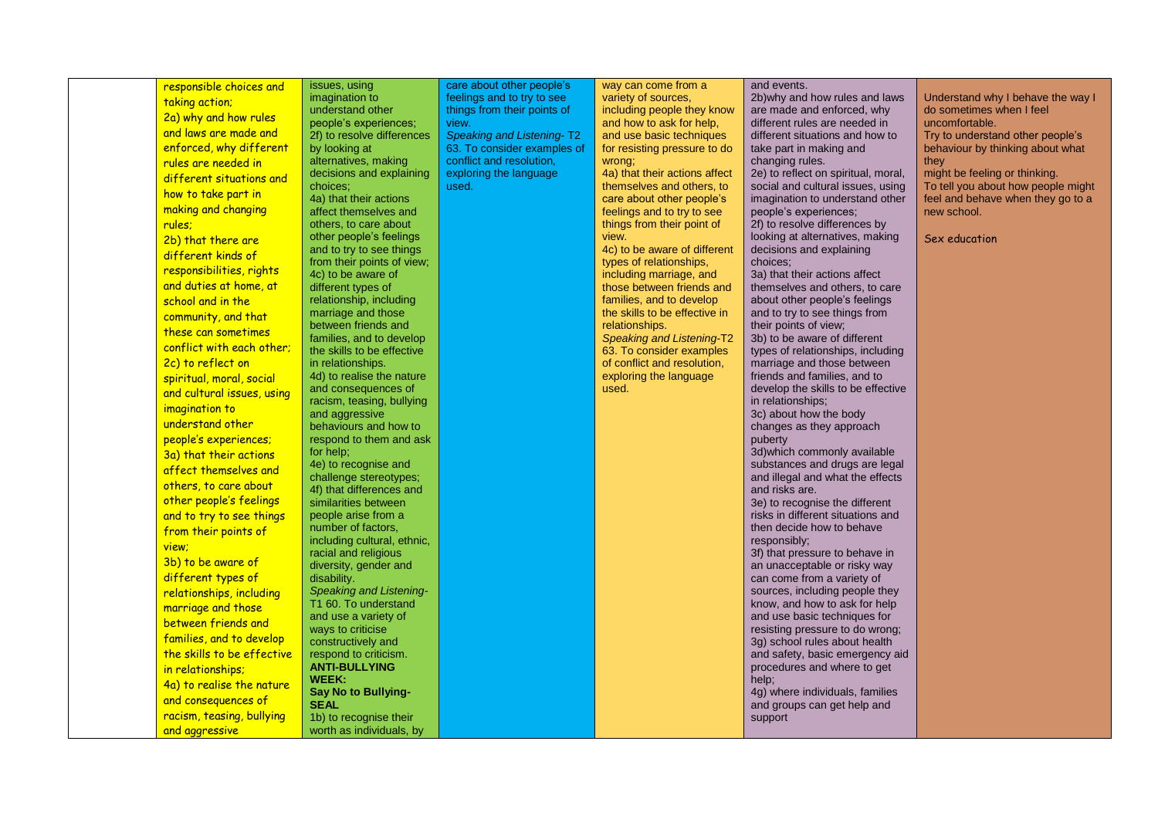| responsible choices and    | issues, using                                          | care about other people's   | way can come from a                                    | and events.                                                          |                                                                         |
|----------------------------|--------------------------------------------------------|-----------------------------|--------------------------------------------------------|----------------------------------------------------------------------|-------------------------------------------------------------------------|
|                            | imagination to                                         | feelings and to try to see  | variety of sources,                                    | 2b) why and how rules and laws                                       | Understand why I behave the way I                                       |
| taking action;             | understand other                                       | things from their points of | including people they know                             | are made and enforced, why                                           | do sometimes when I feel                                                |
| 2a) why and how rules      | people's experiences;                                  | view.                       | and how to ask for help,                               | different rules are needed in                                        | uncomfortable.                                                          |
| and laws are made and      | 2f) to resolve differences                             | Speaking and Listening-T2   | and use basic techniques                               | different situations and how to                                      | Try to understand other people's                                        |
| enforced, why different    | by looking at                                          | 63. To consider examples of | for resisting pressure to do                           | take part in making and                                              | behaviour by thinking about what                                        |
| rules are needed in        | alternatives, making                                   | conflict and resolution,    | wrong;                                                 | changing rules.                                                      | they                                                                    |
| different situations and   | decisions and explaining                               | exploring the language      | 4a) that their actions affect                          | 2e) to reflect on spiritual, moral,                                  | might be feeling or thinking.                                           |
| how to take part in        | choices:<br>4a) that their actions                     | used.                       | themselves and others, to<br>care about other people's | social and cultural issues, using<br>imagination to understand other | To tell you about how people might<br>feel and behave when they go to a |
| making and changing        | affect themselves and                                  |                             | feelings and to try to see                             | people's experiences;                                                | new school.                                                             |
| rules:                     | others, to care about                                  |                             | things from their point of                             | 2f) to resolve differences by                                        |                                                                         |
| 2b) that there are         | other people's feelings                                |                             | view.                                                  | looking at alternatives, making                                      | Sex education                                                           |
| different kinds of         | and to try to see things                               |                             | 4c) to be aware of different                           | decisions and explaining                                             |                                                                         |
|                            | from their points of view;                             |                             | types of relationships,                                | choices;                                                             |                                                                         |
| responsibilities, rights   | 4c) to be aware of                                     |                             | including marriage, and                                | 3a) that their actions affect                                        |                                                                         |
| and duties at home, at     | different types of                                     |                             | those between friends and                              | themselves and others, to care                                       |                                                                         |
| school and in the          | relationship, including                                |                             | families, and to develop                               | about other people's feelings                                        |                                                                         |
| community, and that        | marriage and those                                     |                             | the skills to be effective in                          | and to try to see things from                                        |                                                                         |
| these can sometimes        | between friends and<br>families, and to develop        |                             | relationships.<br><b>Speaking and Listening-T2</b>     | their points of view;<br>3b) to be aware of different                |                                                                         |
| conflict with each other;  | the skills to be effective                             |                             | 63. To consider examples                               | types of relationships, including                                    |                                                                         |
| 2c) to reflect on          | in relationships.                                      |                             | of conflict and resolution,                            | marriage and those between                                           |                                                                         |
| spiritual, moral, social   | 4d) to realise the nature                              |                             | exploring the language                                 | friends and families, and to                                         |                                                                         |
| and cultural issues, using | and consequences of                                    |                             | used.                                                  | develop the skills to be effective                                   |                                                                         |
|                            | racism, teasing, bullying                              |                             |                                                        | in relationships;                                                    |                                                                         |
| imagination to             | and aggressive                                         |                             |                                                        | 3c) about how the body                                               |                                                                         |
| understand other           | behaviours and how to                                  |                             |                                                        | changes as they approach                                             |                                                                         |
| people's experiences;      | respond to them and ask                                |                             |                                                        | puberty                                                              |                                                                         |
| 3a) that their actions     | for help;                                              |                             |                                                        | 3d) which commonly available                                         |                                                                         |
| affect themselves and      | 4e) to recognise and<br>challenge stereotypes;         |                             |                                                        | substances and drugs are legal<br>and illegal and what the effects   |                                                                         |
| others, to care about      | 4f) that differences and                               |                             |                                                        | and risks are.                                                       |                                                                         |
| other people's feelings    | similarities between                                   |                             |                                                        | 3e) to recognise the different                                       |                                                                         |
| and to try to see things   | people arise from a                                    |                             |                                                        | risks in different situations and                                    |                                                                         |
| from their points of       | number of factors.                                     |                             |                                                        | then decide how to behave                                            |                                                                         |
| view;                      | including cultural, ethnic,                            |                             |                                                        | responsibly;                                                         |                                                                         |
|                            | racial and religious                                   |                             |                                                        | 3f) that pressure to behave in                                       |                                                                         |
| 3b) to be aware of         | diversity, gender and                                  |                             |                                                        | an unacceptable or risky way                                         |                                                                         |
| different types of         | disability.                                            |                             |                                                        | can come from a variety of                                           |                                                                         |
| relationships, including   | <b>Speaking and Listening-</b><br>T1 60. To understand |                             |                                                        | sources, including people they                                       |                                                                         |
| marriage and those         | and use a variety of                                   |                             |                                                        | know, and how to ask for help<br>and use basic techniques for        |                                                                         |
| between friends and        | ways to criticise                                      |                             |                                                        | resisting pressure to do wrong;                                      |                                                                         |
| families, and to develop   | constructively and                                     |                             |                                                        | 3g) school rules about health                                        |                                                                         |
| the skills to be effective | respond to criticism.                                  |                             |                                                        | and safety, basic emergency aid                                      |                                                                         |
| in relationships;          | <b>ANTI-BULLYING</b>                                   |                             |                                                        | procedures and where to get                                          |                                                                         |
| 4a) to realise the nature  | WEEK:                                                  |                             |                                                        | help;                                                                |                                                                         |
| and consequences of        | <b>Say No to Bullying-</b>                             |                             |                                                        | 4g) where individuals, families                                      |                                                                         |
|                            | <b>SEAL</b>                                            |                             |                                                        | and groups can get help and                                          |                                                                         |
| racism, teasing, bullying  | 1b) to recognise their                                 |                             |                                                        | support                                                              |                                                                         |
| and aggressive             | worth as individuals, by                               |                             |                                                        |                                                                      |                                                                         |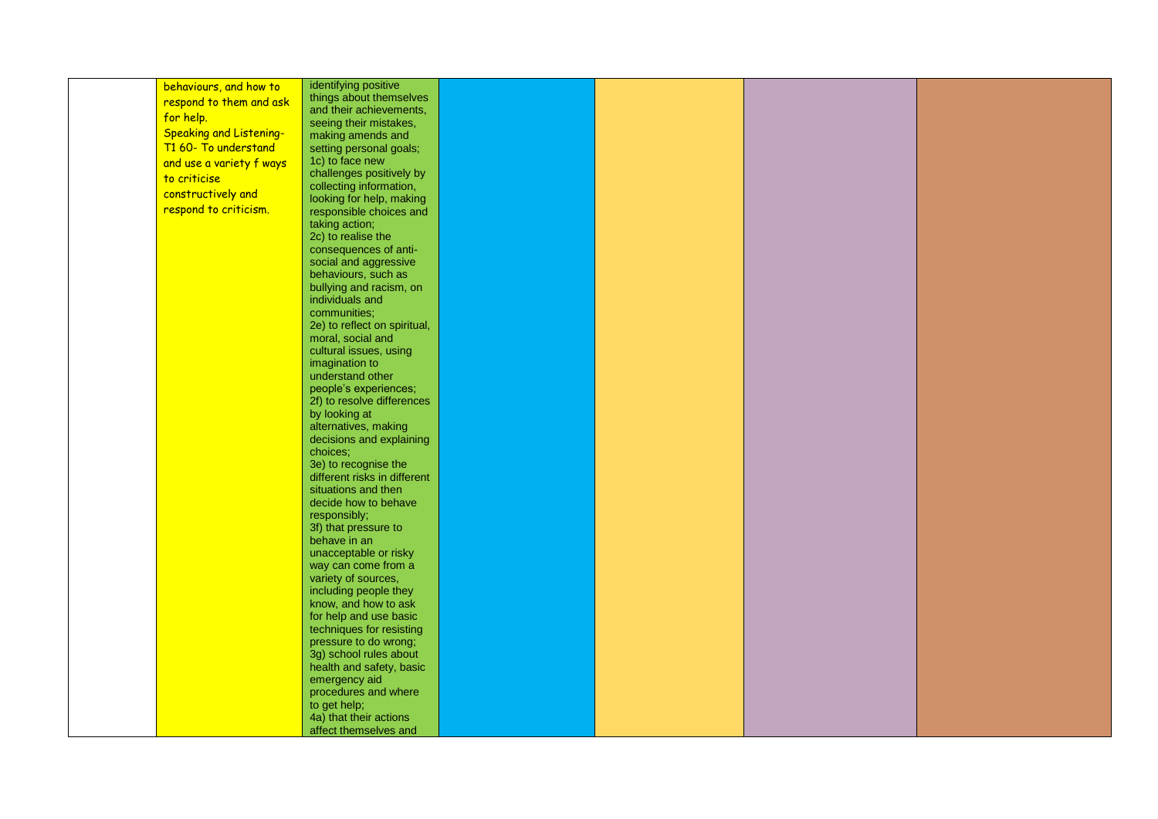|           | behaviours, and how to         | identifying positive         |  |  |
|-----------|--------------------------------|------------------------------|--|--|
|           | respond to them and ask        | things about themselves      |  |  |
| for help. |                                | and their achievements,      |  |  |
|           |                                | seeing their mistakes,       |  |  |
|           | <b>Speaking and Listening-</b> | making amends and            |  |  |
|           | T1 60- To understand           | setting personal goals;      |  |  |
|           | and use a variety f ways       | 1c) to face new              |  |  |
|           |                                | challenges positively by     |  |  |
|           | to criticise                   | collecting information,      |  |  |
|           | constructively and             | looking for help, making     |  |  |
|           | respond to criticism.          |                              |  |  |
|           |                                | responsible choices and      |  |  |
|           |                                | taking action;               |  |  |
|           |                                | 2c) to realise the           |  |  |
|           |                                | consequences of anti-        |  |  |
|           |                                | social and aggressive        |  |  |
|           |                                | behaviours, such as          |  |  |
|           |                                | bullying and racism, on      |  |  |
|           |                                | individuals and              |  |  |
|           |                                | communities;                 |  |  |
|           |                                | 2e) to reflect on spiritual, |  |  |
|           |                                | moral, social and            |  |  |
|           |                                | cultural issues, using       |  |  |
|           |                                | imagination to               |  |  |
|           |                                | understand other             |  |  |
|           |                                | people's experiences;        |  |  |
|           |                                | 2f) to resolve differences   |  |  |
|           |                                |                              |  |  |
|           |                                | by looking at                |  |  |
|           |                                | alternatives, making         |  |  |
|           |                                | decisions and explaining     |  |  |
|           |                                | choices;                     |  |  |
|           |                                | 3e) to recognise the         |  |  |
|           |                                | different risks in different |  |  |
|           |                                | situations and then          |  |  |
|           |                                | decide how to behave         |  |  |
|           |                                | responsibly;                 |  |  |
|           |                                | 3f) that pressure to         |  |  |
|           |                                | behave in an                 |  |  |
|           |                                | unacceptable or risky        |  |  |
|           |                                | way can come from a          |  |  |
|           |                                | variety of sources,          |  |  |
|           |                                | including people they        |  |  |
|           |                                | know, and how to ask         |  |  |
|           |                                | for help and use basic       |  |  |
|           |                                |                              |  |  |
|           |                                | techniques for resisting     |  |  |
|           |                                | pressure to do wrong;        |  |  |
|           |                                | 3g) school rules about       |  |  |
|           |                                | health and safety, basic     |  |  |
|           |                                | emergency aid                |  |  |
|           |                                | procedures and where         |  |  |
|           |                                | to get help;                 |  |  |
|           |                                | 4a) that their actions       |  |  |
|           |                                | affect themselves and        |  |  |